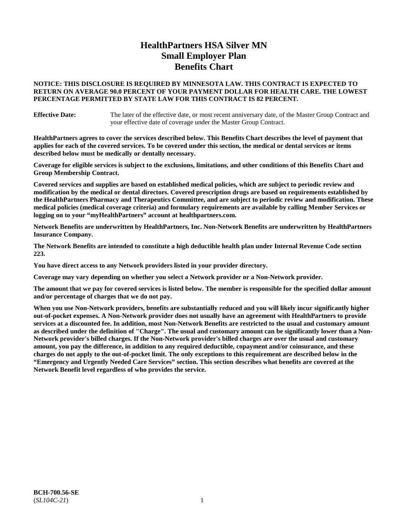# **HealthPartners HSA Silver MN Small Employer Plan Benefits Chart**

### **NOTICE: THIS DISCLOSURE IS REQUIRED BY MINNESOTA LAW. THIS CONTRACT IS EXPECTED TO RETURN ON AVERAGE 90.0 PERCENT OF YOUR PAYMENT DOLLAR FOR HEALTH CARE. THE LOWEST PERCENTAGE PERMITTED BY STATE LAW FOR THIS CONTRACT IS 82 PERCENT.**

**Effective Date:** The later of the effective date, or most recent anniversary date, of the Master Group Contract and your effective date of coverage under the Master Group Contract.

**HealthPartners agrees to cover the services described below. This Benefits Chart describes the level of payment that applies for each of the covered services. To be covered under this section, the medical or dental services or items described below must be medically or dentally necessary.**

**Coverage for eligible services is subject to the exclusions, limitations, and other conditions of this Benefits Chart and Group Membership Contract.**

**Covered services and supplies are based on established medical policies, which are subject to periodic review and modification by the medical or dental directors. Covered prescription drugs are based on requirements established by the HealthPartners Pharmacy and Therapeutics Committee, and are subject to periodic review and modification. These medical policies (medical coverage criteria) and formulary requirements are available by calling Member Services or logging on to your "myHealthPartners" account at [healthpartners.com.](https://www.healthpartners.com/hp/index.html)**

**Network Benefits are underwritten by HealthPartners, Inc. Non-Network Benefits are underwritten by HealthPartners Insurance Company.** 

**The Network Benefits are intended to constitute a high deductible health plan under Internal Revenue Code section 223.** 

**You have direct access to any Network providers listed in your provider directory.**

**Coverage may vary depending on whether you select a Network provider or a Non-Network provider.**

**The amount that we pay for covered services is listed below. The member is responsible for the specified dollar amount and/or percentage of charges that we do not pay.**

**When you use Non-Network providers, benefits are substantially reduced and you will likely incur significantly higher out-of-pocket expenses. A Non-Network provider does not usually have an agreement with HealthPartners to provide services at a discounted fee. In addition, most Non-Network Benefits are restricted to the usual and customary amount as described under the definition of "Charge". The usual and customary amount can be significantly lower than a Non-Network provider's billed charges. If the Non-Network provider's billed charges are over the usual and customary amount, you pay the difference, in addition to any required deductible, copayment and/or coinsurance, and these charges do not apply to the out-of-pocket limit. The only exceptions to this requirement are described below in the "Emergency and Urgently Needed Care Services" section. This section describes what benefits are covered at the Network Benefit level regardless of who provides the service.**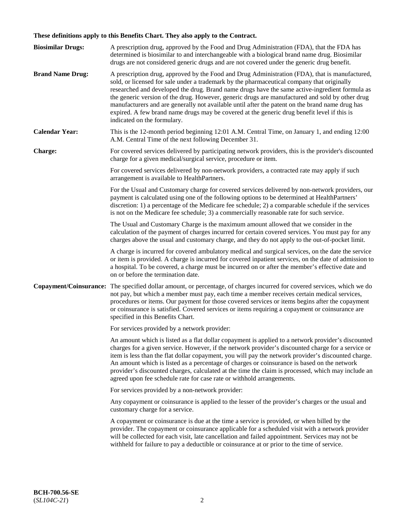# **These definitions apply to this Benefits Chart. They also apply to the Contract.**

| <b>Biosimilar Drugs:</b> | A prescription drug, approved by the Food and Drug Administration (FDA), that the FDA has<br>determined is biosimilar to and interchangeable with a biological brand name drug. Biosimilar<br>drugs are not considered generic drugs and are not covered under the generic drug benefit.                                                                                                                                                                                                                                                                                                                                           |
|--------------------------|------------------------------------------------------------------------------------------------------------------------------------------------------------------------------------------------------------------------------------------------------------------------------------------------------------------------------------------------------------------------------------------------------------------------------------------------------------------------------------------------------------------------------------------------------------------------------------------------------------------------------------|
| <b>Brand Name Drug:</b>  | A prescription drug, approved by the Food and Drug Administration (FDA), that is manufactured,<br>sold, or licensed for sale under a trademark by the pharmaceutical company that originally<br>researched and developed the drug. Brand name drugs have the same active-ingredient formula as<br>the generic version of the drug. However, generic drugs are manufactured and sold by other drug<br>manufacturers and are generally not available until after the patent on the brand name drug has<br>expired. A few brand name drugs may be covered at the generic drug benefit level if this is<br>indicated on the formulary. |
| <b>Calendar Year:</b>    | This is the 12-month period beginning 12:01 A.M. Central Time, on January 1, and ending 12:00<br>A.M. Central Time of the next following December 31.                                                                                                                                                                                                                                                                                                                                                                                                                                                                              |
| <b>Charge:</b>           | For covered services delivered by participating network providers, this is the provider's discounted<br>charge for a given medical/surgical service, procedure or item.                                                                                                                                                                                                                                                                                                                                                                                                                                                            |
|                          | For covered services delivered by non-network providers, a contracted rate may apply if such<br>arrangement is available to HealthPartners.                                                                                                                                                                                                                                                                                                                                                                                                                                                                                        |
|                          | For the Usual and Customary charge for covered services delivered by non-network providers, our<br>payment is calculated using one of the following options to be determined at HealthPartners'<br>discretion: 1) a percentage of the Medicare fee schedule; 2) a comparable schedule if the services<br>is not on the Medicare fee schedule; 3) a commercially reasonable rate for such service.                                                                                                                                                                                                                                  |
|                          | The Usual and Customary Charge is the maximum amount allowed that we consider in the<br>calculation of the payment of charges incurred for certain covered services. You must pay for any<br>charges above the usual and customary charge, and they do not apply to the out-of-pocket limit.                                                                                                                                                                                                                                                                                                                                       |
|                          | A charge is incurred for covered ambulatory medical and surgical services, on the date the service<br>or item is provided. A charge is incurred for covered inpatient services, on the date of admission to<br>a hospital. To be covered, a charge must be incurred on or after the member's effective date and<br>on or before the termination date.                                                                                                                                                                                                                                                                              |
| Copayment/Coinsurance:   | The specified dollar amount, or percentage, of charges incurred for covered services, which we do<br>not pay, but which a member must pay, each time a member receives certain medical services,<br>procedures or items. Our payment for those covered services or items begins after the copayment<br>or coinsurance is satisfied. Covered services or items requiring a copayment or coinsurance are<br>specified in this Benefits Chart.                                                                                                                                                                                        |
|                          | For services provided by a network provider:                                                                                                                                                                                                                                                                                                                                                                                                                                                                                                                                                                                       |
|                          | An amount which is listed as a flat dollar copayment is applied to a network provider's discounted<br>charges for a given service. However, if the network provider's discounted charge for a service or<br>item is less than the flat dollar copayment, you will pay the network provider's discounted charge.<br>An amount which is listed as a percentage of charges or coinsurance is based on the network<br>provider's discounted charges, calculated at the time the claim is processed, which may include an<br>agreed upon fee schedule rate for case rate or withhold arrangements.                                      |
|                          | For services provided by a non-network provider:                                                                                                                                                                                                                                                                                                                                                                                                                                                                                                                                                                                   |
|                          | Any copayment or coinsurance is applied to the lesser of the provider's charges or the usual and<br>customary charge for a service.                                                                                                                                                                                                                                                                                                                                                                                                                                                                                                |
|                          | A copayment or coinsurance is due at the time a service is provided, or when billed by the<br>provider. The copayment or coinsurance applicable for a scheduled visit with a network provider<br>will be collected for each visit, late cancellation and failed appointment. Services may not be<br>withheld for failure to pay a deductible or coinsurance at or prior to the time of service.                                                                                                                                                                                                                                    |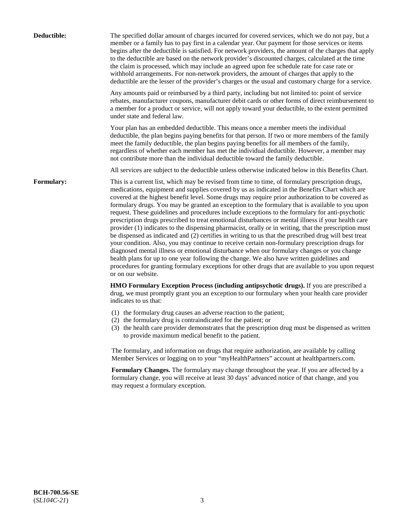| Deductible:       | The specified dollar amount of charges incurred for covered services, which we do not pay, but a<br>member or a family has to pay first in a calendar year. Our payment for those services or items<br>begins after the deductible is satisfied. For network providers, the amount of the charges that apply<br>to the deductible are based on the network provider's discounted charges, calculated at the time<br>the claim is processed, which may include an agreed upon fee schedule rate for case rate or<br>withhold arrangements. For non-network providers, the amount of charges that apply to the<br>deductible are the lesser of the provider's charges or the usual and customary charge for a service.                                                                                                                                                                                                                                                                                                                                                                                                                                                                                                                                             |
|-------------------|------------------------------------------------------------------------------------------------------------------------------------------------------------------------------------------------------------------------------------------------------------------------------------------------------------------------------------------------------------------------------------------------------------------------------------------------------------------------------------------------------------------------------------------------------------------------------------------------------------------------------------------------------------------------------------------------------------------------------------------------------------------------------------------------------------------------------------------------------------------------------------------------------------------------------------------------------------------------------------------------------------------------------------------------------------------------------------------------------------------------------------------------------------------------------------------------------------------------------------------------------------------|
|                   | Any amounts paid or reimbursed by a third party, including but not limited to: point of service<br>rebates, manufacturer coupons, manufacturer debit cards or other forms of direct reimbursement to<br>a member for a product or service, will not apply toward your deductible, to the extent permitted<br>under state and federal law.                                                                                                                                                                                                                                                                                                                                                                                                                                                                                                                                                                                                                                                                                                                                                                                                                                                                                                                        |
|                   | Your plan has an embedded deductible. This means once a member meets the individual<br>deductible, the plan begins paying benefits for that person. If two or more members of the family<br>meet the family deductible, the plan begins paying benefits for all members of the family,<br>regardless of whether each member has met the individual deductible. However, a member may<br>not contribute more than the individual deductible toward the family deductible.                                                                                                                                                                                                                                                                                                                                                                                                                                                                                                                                                                                                                                                                                                                                                                                         |
|                   | All services are subject to the deductible unless otherwise indicated below in this Benefits Chart.                                                                                                                                                                                                                                                                                                                                                                                                                                                                                                                                                                                                                                                                                                                                                                                                                                                                                                                                                                                                                                                                                                                                                              |
| <b>Formulary:</b> | This is a current list, which may be revised from time to time, of formulary prescription drugs,<br>medications, equipment and supplies covered by us as indicated in the Benefits Chart which are<br>covered at the highest benefit level. Some drugs may require prior authorization to be covered as<br>formulary drugs. You may be granted an exception to the formulary that is available to you upon<br>request. These guidelines and procedures include exceptions to the formulary for anti-psychotic<br>prescription drugs prescribed to treat emotional disturbances or mental illness if your health care<br>provider (1) indicates to the dispensing pharmacist, orally or in writing, that the prescription must<br>be dispensed as indicated and (2) certifies in writing to us that the prescribed drug will best treat<br>your condition. Also, you may continue to receive certain non-formulary prescription drugs for<br>diagnosed mental illness or emotional disturbance when our formulary changes or you change<br>health plans for up to one year following the change. We also have written guidelines and<br>procedures for granting formulary exceptions for other drugs that are available to you upon request<br>or on our website. |
|                   | HMO Formulary Exception Process (including antipsychotic drugs). If you are prescribed a<br>drug, we must promptly grant you an exception to our formulary when your health care provider<br>indicates to us that:                                                                                                                                                                                                                                                                                                                                                                                                                                                                                                                                                                                                                                                                                                                                                                                                                                                                                                                                                                                                                                               |
|                   | (1) the formulary drug causes an adverse reaction to the patient;<br>(2) the formulary drug is contraindicated for the patient; or<br>(3) the health care provider demonstrates that the prescription drug must be dispensed as written<br>to provide maximum medical benefit to the patient.                                                                                                                                                                                                                                                                                                                                                                                                                                                                                                                                                                                                                                                                                                                                                                                                                                                                                                                                                                    |
|                   | The formulary, and information on drugs that require authorization, are available by calling<br>Member Services or logging on to your "myHealthPartners" account at healthpartners.com.                                                                                                                                                                                                                                                                                                                                                                                                                                                                                                                                                                                                                                                                                                                                                                                                                                                                                                                                                                                                                                                                          |
|                   | Formulary Changes. The formulary may change throughout the year. If you are affected by a<br>formulary change, you will receive at least 30 days' advanced notice of that change, and you<br>may request a formulary exception.                                                                                                                                                                                                                                                                                                                                                                                                                                                                                                                                                                                                                                                                                                                                                                                                                                                                                                                                                                                                                                  |
|                   |                                                                                                                                                                                                                                                                                                                                                                                                                                                                                                                                                                                                                                                                                                                                                                                                                                                                                                                                                                                                                                                                                                                                                                                                                                                                  |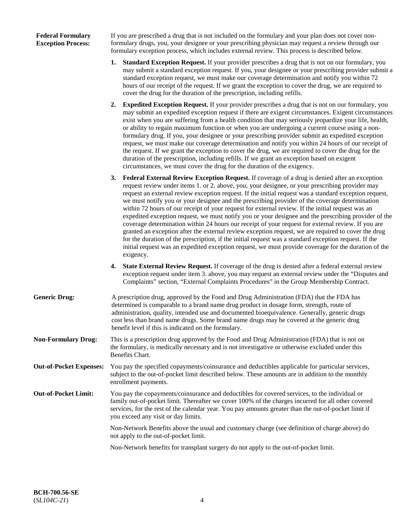### **Federal Formulary Exception Process:**

If you are prescribed a drug that is not included on the formulary and your plan does not cover nonformulary drugs, you, your designee or your prescribing physician may request a review through our formulary exception process, which includes external review. This process is described below.

- **1. Standard Exception Request.** If your provider prescribes a drug that is not on our formulary, you may submit a standard exception request. If you, your designee or your prescribing provider submit a standard exception request, we must make our coverage determination and notify you within 72 hours of our receipt of the request. If we grant the exception to cover the drug, we are required to cover the drug for the duration of the prescription, including refills.
- **2. Expedited Exception Request.** If your provider prescribes a drug that is not on our formulary, you may submit an expedited exception request if there are exigent circumstances. Exigent circumstances exist when you are suffering from a health condition that may seriously jeopardize your life, health, or ability to regain maximum function or when you are undergoing a current course using a nonformulary drug. If you, your designee or your prescribing provider submit an expedited exception request, we must make our coverage determination and notify you within 24 hours of our receipt of the request. If we grant the exception to cover the drug, we are required to cover the drug for the duration of the prescription, including refills. If we grant an exception based on exigent circumstances, we must cover the drug for the duration of the exigency.
- **3. Federal External Review Exception Request.** If coverage of a drug is denied after an exception request review under items 1. or 2. above, you, your designee, or your prescribing provider may request an external review exception request. If the initial request was a standard exception request, we must notify you or your designee and the prescribing provider of the coverage determination within 72 hours of our receipt of your request for external review. If the initial request was an expedited exception request, we must notify you or your designee and the prescribing provider of the coverage determination within 24 hours our receipt of your request for external review. If you are granted an exception after the external review exception request, we are required to cover the drug for the duration of the prescription, if the initial request was a standard exception request. If the initial request was an expedited exception request, we must provide coverage for the duration of the exigency.
- **4. State External Review Request.** If coverage of the drug is denied after a federal external review exception request under item 3. above, you may request an external review under the "Disputes and Complaints" section, "External Complaints Procedures" in the Group Membership Contract.
- **Generic Drug:** A prescription drug, approved by the Food and Drug Administration (FDA) that the FDA has determined is comparable to a brand name drug product in dosage form, strength, route of administration, quality, intended use and documented bioequivalence. Generally, generic drugs cost less than brand name drugs. Some brand name drugs may be covered at the generic drug benefit level if this is indicated on the formulary.
- **Non-Formulary Drug:** This is a prescription drug approved by the Food and Drug Administration (FDA) that is not on the formulary, is medically necessary and is not investigative or otherwise excluded under this Benefits Chart.
- **Out-of-Pocket Expenses:** You pay the specified copayments/coinsurance and deductibles applicable for particular services, subject to the out-of-pocket limit described below. These amounts are in addition to the monthly enrollment payments.
- **Out-of-Pocket Limit:** You pay the copayments/coinsurance and deductibles for covered services, to the individual or family out-of-pocket limit. Thereafter we cover 100% of the charges incurred for all other covered services, for the rest of the calendar year. You pay amounts greater than the out-of-pocket limit if you exceed any visit or day limits.

Non-Network Benefits above the usual and customary charge (see definition of charge above) do not apply to the out-of-pocket limit.

Non-Network benefits for transplant surgery do not apply to the out-of-pocket limit.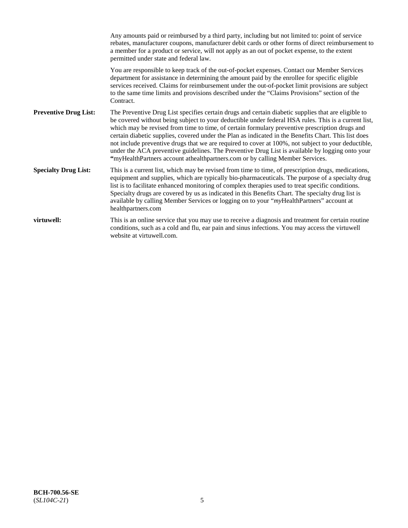|                              | Any amounts paid or reimbursed by a third party, including but not limited to: point of service<br>rebates, manufacturer coupons, manufacturer debit cards or other forms of direct reimbursement to<br>a member for a product or service, will not apply as an out of pocket expense, to the extent<br>permitted under state and federal law.                                                                                                                                                                                                                                                                                                                                                                   |
|------------------------------|------------------------------------------------------------------------------------------------------------------------------------------------------------------------------------------------------------------------------------------------------------------------------------------------------------------------------------------------------------------------------------------------------------------------------------------------------------------------------------------------------------------------------------------------------------------------------------------------------------------------------------------------------------------------------------------------------------------|
|                              | You are responsible to keep track of the out-of-pocket expenses. Contact our Member Services<br>department for assistance in determining the amount paid by the enrollee for specific eligible<br>services received. Claims for reimbursement under the out-of-pocket limit provisions are subject<br>to the same time limits and provisions described under the "Claims Provisions" section of the<br>Contract.                                                                                                                                                                                                                                                                                                 |
| <b>Preventive Drug List:</b> | The Preventive Drug List specifies certain drugs and certain diabetic supplies that are eligible to<br>be covered without being subject to your deductible under federal HSA rules. This is a current list,<br>which may be revised from time to time, of certain formulary preventive prescription drugs and<br>certain diabetic supplies, covered under the Plan as indicated in the Benefits Chart. This list does<br>not include preventive drugs that we are required to cover at 100%, not subject to your deductible,<br>under the ACA preventive guidelines. The Preventive Drug List is available by logging onto your<br>"myHealthPartners account athealthpartners.com or by calling Member Services. |
| <b>Specialty Drug List:</b>  | This is a current list, which may be revised from time to time, of prescription drugs, medications,<br>equipment and supplies, which are typically bio-pharmaceuticals. The purpose of a specialty drug<br>list is to facilitate enhanced monitoring of complex therapies used to treat specific conditions.<br>Specialty drugs are covered by us as indicated in this Benefits Chart. The specialty drug list is<br>available by calling Member Services or logging on to your "myHealthPartners" account at<br>healthpartners.com                                                                                                                                                                              |
| virtuwell:                   | This is an online service that you may use to receive a diagnosis and treatment for certain routine<br>conditions, such as a cold and flu, ear pain and sinus infections. You may access the virtuwell<br>website at virtuwell.com.                                                                                                                                                                                                                                                                                                                                                                                                                                                                              |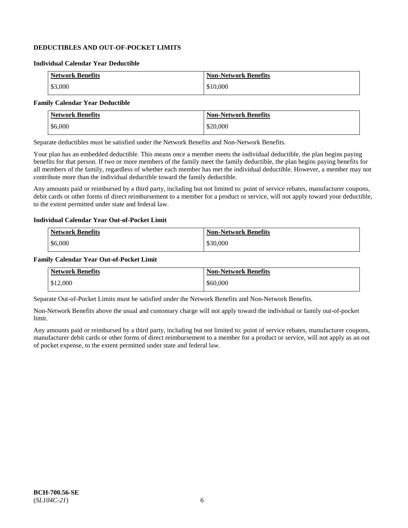# **DEDUCTIBLES AND OUT-OF-POCKET LIMITS**

### **Individual Calendar Year Deductible**

| <b>Network Benefits</b> | <b>Non-Network Benefits</b> |
|-------------------------|-----------------------------|
| \$3,000                 | \$10,000                    |

### **Family Calendar Year Deductible**

| <b>Network Benefits</b> | <b>Non-Network Benefits</b> |
|-------------------------|-----------------------------|
| \$6,000                 | \$20,000                    |

Separate deductibles must be satisfied under the Network Benefits and Non-Network Benefits.

Your plan has an embedded deductible. This means once a member meets the individual deductible, the plan begins paying benefits for that person. If two or more members of the family meet the family deductible, the plan begins paying benefits for all members of the family, regardless of whether each member has met the individual deductible. However, a member may not contribute more than the individual deductible toward the family deductible.

Any amounts paid or reimbursed by a third party, including but not limited to: point of service rebates, manufacturer coupons, debit cards or other forms of direct reimbursement to a member for a product or service, will not apply toward your deductible, to the extent permitted under state and federal law.

#### **Individual Calendar Year Out-of-Pocket Limit**

| <b>Network Benefits</b> | <b>Non-Network Benefits</b> |
|-------------------------|-----------------------------|
| \$6,000                 | \$30,000                    |

#### **Family Calendar Year Out-of-Pocket Limit**

| <b>Network Benefits</b> | Non-Network Benefits |
|-------------------------|----------------------|
| \$12,000                | \$60,000             |

Separate Out-of-Pocket Limits must be satisfied under the Network Benefits and Non-Network Benefits.

Non-Network Benefits above the usual and customary charge will not apply toward the individual or family out-of-pocket limit.

Any amounts paid or reimbursed by a third party, including but not limited to: point of service rebates, manufacturer coupons, manufacturer debit cards or other forms of direct reimbursement to a member for a product or service, will not apply as an out of pocket expense, to the extent permitted under state and federal law.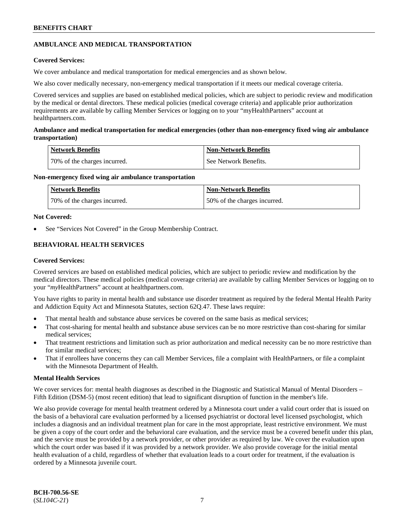# **AMBULANCE AND MEDICAL TRANSPORTATION**

### **Covered Services:**

We cover ambulance and medical transportation for medical emergencies and as shown below.

We also cover medically necessary, non-emergency medical transportation if it meets our medical coverage criteria.

Covered services and supplies are based on established medical policies, which are subject to periodic review and modification by the medical or dental directors. These medical policies (medical coverage criteria) and applicable prior authorization requirements are available by calling Member Services or logging on to your "myHealthPartners" account at [healthpartners.com.](https://www.healthpartners.com/hp/index.html)

### **Ambulance and medical transportation for medical emergencies (other than non-emergency fixed wing air ambulance transportation)**

| Network Benefits             | <b>Non-Network Benefits</b> |
|------------------------------|-----------------------------|
| 70% of the charges incurred. | See Network Benefits.       |

### **Non-emergency fixed wing air ambulance transportation**

| <b>Network Benefits</b>      | <b>Non-Network Benefits</b>  |
|------------------------------|------------------------------|
| 70% of the charges incurred. | 50% of the charges incurred. |

## **Not Covered:**

See "Services Not Covered" in the Group Membership Contract.

# **BEHAVIORAL HEALTH SERVICES**

### **Covered Services:**

Covered services are based on established medical policies, which are subject to periodic review and modification by the medical directors. These medical policies (medical coverage criteria) are available by calling Member Services or logging on to your "*my*HealthPartners" account at [healthpartners.com.](http://www.healthpartners.com/)

You have rights to parity in mental health and substance use disorder treatment as required by the federal Mental Health Parity and Addiction Equity Act and Minnesota Statutes, section 62Q.47. These laws require:

- That mental health and substance abuse services be covered on the same basis as medical services;
- That cost-sharing for mental health and substance abuse services can be no more restrictive than cost-sharing for similar medical services;
- That treatment restrictions and limitation such as prior authorization and medical necessity can be no more restrictive than for similar medical services;
- That if enrollees have concerns they can call Member Services, file a complaint with HealthPartners, or file a complaint with the Minnesota Department of Health.

### **Mental Health Services**

We cover services for: mental health diagnoses as described in the Diagnostic and Statistical Manual of Mental Disorders – Fifth Edition (DSM-5) (most recent edition) that lead to significant disruption of function in the member's life.

We also provide coverage for mental health treatment ordered by a Minnesota court under a valid court order that is issued on the basis of a behavioral care evaluation performed by a licensed psychiatrist or doctoral level licensed psychologist, which includes a diagnosis and an individual treatment plan for care in the most appropriate, least restrictive environment. We must be given a copy of the court order and the behavioral care evaluation, and the service must be a covered benefit under this plan, and the service must be provided by a network provider, or other provider as required by law. We cover the evaluation upon which the court order was based if it was provided by a network provider. We also provide coverage for the initial mental health evaluation of a child, regardless of whether that evaluation leads to a court order for treatment, if the evaluation is ordered by a Minnesota juvenile court.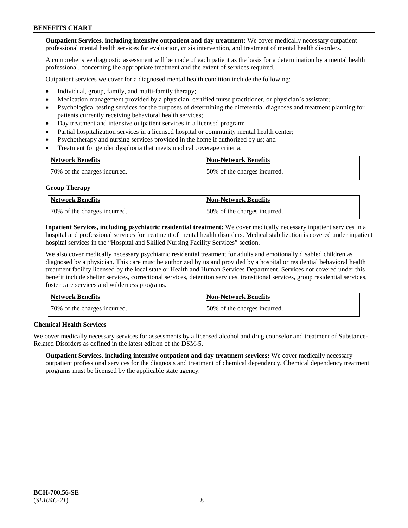**Outpatient Services, including intensive outpatient and day treatment:** We cover medically necessary outpatient professional mental health services for evaluation, crisis intervention, and treatment of mental health disorders.

A comprehensive diagnostic assessment will be made of each patient as the basis for a determination by a mental health professional, concerning the appropriate treatment and the extent of services required.

Outpatient services we cover for a diagnosed mental health condition include the following:

- Individual, group, family, and multi-family therapy;
- Medication management provided by a physician, certified nurse practitioner, or physician's assistant;
- Psychological testing services for the purposes of determining the differential diagnoses and treatment planning for patients currently receiving behavioral health services;
- Day treatment and intensive outpatient services in a licensed program;
- Partial hospitalization services in a licensed hospital or community mental health center;
- Psychotherapy and nursing services provided in the home if authorized by us; and
- Treatment for gender dysphoria that meets medical coverage criteria.

| <b>Network Benefits</b>      | <b>Non-Network Benefits</b>  |
|------------------------------|------------------------------|
| 70% of the charges incurred. | 50% of the charges incurred. |

#### **Group Therapy**

| Network Benefits             | <b>Non-Network Benefits</b>  |
|------------------------------|------------------------------|
| 70% of the charges incurred. | 50% of the charges incurred. |

**Inpatient Services, including psychiatric residential treatment:** We cover medically necessary inpatient services in a hospital and professional services for treatment of mental health disorders. Medical stabilization is covered under inpatient hospital services in the "Hospital and Skilled Nursing Facility Services" section.

We also cover medically necessary psychiatric residential treatment for adults and emotionally disabled children as diagnosed by a physician. This care must be authorized by us and provided by a hospital or residential behavioral health treatment facility licensed by the local state or Health and Human Services Department. Services not covered under this benefit include shelter services, correctional services, detention services, transitional services, group residential services, foster care services and wilderness programs.

| Network Benefits             | <b>Non-Network Benefits</b>  |
|------------------------------|------------------------------|
| 70% of the charges incurred. | 50% of the charges incurred. |

### **Chemical Health Services**

We cover medically necessary services for assessments by a licensed alcohol and drug counselor and treatment of Substance-Related Disorders as defined in the latest edition of the DSM-5.

**Outpatient Services, including intensive outpatient and day treatment services:** We cover medically necessary outpatient professional services for the diagnosis and treatment of chemical dependency. Chemical dependency treatment programs must be licensed by the applicable state agency.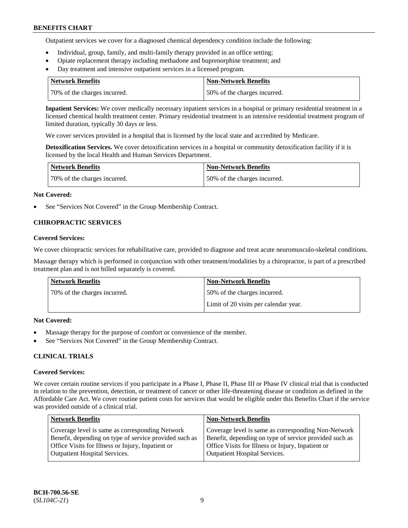Outpatient services we cover for a diagnosed chemical dependency condition include the following:

- Individual, group, family, and multi-family therapy provided in an office setting;
- Opiate replacement therapy including methadone and buprenorphine treatment; and
- Day treatment and intensive outpatient services in a licensed program.

| Network Benefits             | <b>Non-Network Benefits</b>  |
|------------------------------|------------------------------|
| 70% of the charges incurred. | 50% of the charges incurred. |

**Inpatient Services:** We cover medically necessary inpatient services in a hospital or primary residential treatment in a licensed chemical health treatment center. Primary residential treatment is an intensive residential treatment program of limited duration, typically 30 days or less.

We cover services provided in a hospital that is licensed by the local state and accredited by Medicare.

**Detoxification Services.** We cover detoxification services in a hospital or community detoxification facility if it is licensed by the local Health and Human Services Department.

| <b>Network Benefits</b>      | Non-Network Benefits         |
|------------------------------|------------------------------|
| 70% of the charges incurred. | 50% of the charges incurred. |

### **Not Covered:**

See "Services Not Covered" in the Group Membership Contract.

## **CHIROPRACTIC SERVICES**

### **Covered Services:**

We cover chiropractic services for rehabilitative care, provided to diagnose and treat acute neuromusculo-skeletal conditions.

Massage therapy which is performed in conjunction with other treatment/modalities by a chiropractor, is part of a prescribed treatment plan and is not billed separately is covered.

| <b>Network Benefits</b>      | <b>Non-Network Benefits</b>           |
|------------------------------|---------------------------------------|
| 70% of the charges incurred. | 50% of the charges incurred.          |
|                              | Limit of 20 visits per calendar year. |

### **Not Covered:**

- Massage therapy for the purpose of comfort or convenience of the member.
- See "Services Not Covered" in the Group Membership Contract.

### **CLINICAL TRIALS**

#### **Covered Services:**

We cover certain routine services if you participate in a Phase I, Phase II, Phase III or Phase IV clinical trial that is conducted in relation to the prevention, detection, or treatment of cancer or other life-threatening disease or condition as defined in the Affordable Care Act. We cover routine patient costs for services that would be eligible under this Benefits Chart if the service was provided outside of a clinical trial.

| <b>Network Benefits</b>                                                                                                                                                                                | <b>Non-Network Benefits</b>                                                                                                                                                                                |
|--------------------------------------------------------------------------------------------------------------------------------------------------------------------------------------------------------|------------------------------------------------------------------------------------------------------------------------------------------------------------------------------------------------------------|
| Coverage level is same as corresponding Network<br>Benefit, depending on type of service provided such as<br>Office Visits for Illness or Injury, Inpatient or<br><b>Outpatient Hospital Services.</b> | Coverage level is same as corresponding Non-Network<br>Benefit, depending on type of service provided such as<br>Office Visits for Illness or Injury, Inpatient or<br><b>Outpatient Hospital Services.</b> |
|                                                                                                                                                                                                        |                                                                                                                                                                                                            |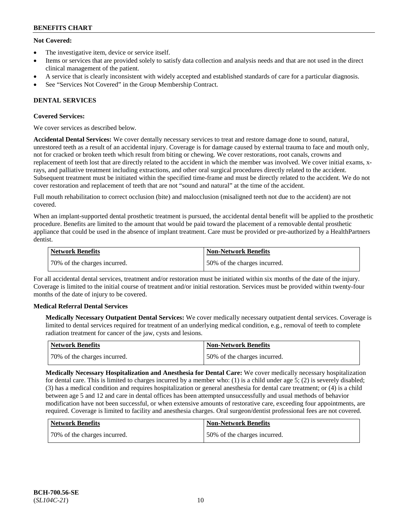### **Not Covered:**

- The investigative item, device or service itself.
- Items or services that are provided solely to satisfy data collection and analysis needs and that are not used in the direct clinical management of the patient.
- A service that is clearly inconsistent with widely accepted and established standards of care for a particular diagnosis.
- See "Services Not Covered" in the Group Membership Contract.

## **DENTAL SERVICES**

### **Covered Services:**

We cover services as described below.

**Accidental Dental Services:** We cover dentally necessary services to treat and restore damage done to sound, natural, unrestored teeth as a result of an accidental injury. Coverage is for damage caused by external trauma to face and mouth only, not for cracked or broken teeth which result from biting or chewing. We cover restorations, root canals, crowns and replacement of teeth lost that are directly related to the accident in which the member was involved. We cover initial exams, xrays, and palliative treatment including extractions, and other oral surgical procedures directly related to the accident. Subsequent treatment must be initiated within the specified time-frame and must be directly related to the accident. We do not cover restoration and replacement of teeth that are not "sound and natural" at the time of the accident.

Full mouth rehabilitation to correct occlusion (bite) and malocclusion (misaligned teeth not due to the accident) are not covered.

When an implant-supported dental prosthetic treatment is pursued, the accidental dental benefit will be applied to the prosthetic procedure. Benefits are limited to the amount that would be paid toward the placement of a removable dental prosthetic appliance that could be used in the absence of implant treatment. Care must be provided or pre-authorized by a HealthPartners dentist.

| Network Benefits             | <b>Non-Network Benefits</b>  |
|------------------------------|------------------------------|
| 70% of the charges incurred. | 50% of the charges incurred. |

For all accidental dental services, treatment and/or restoration must be initiated within six months of the date of the injury. Coverage is limited to the initial course of treatment and/or initial restoration. Services must be provided within twenty-four months of the date of injury to be covered.

### **Medical Referral Dental Services**

**Medically Necessary Outpatient Dental Services:** We cover medically necessary outpatient dental services. Coverage is limited to dental services required for treatment of an underlying medical condition, e.g., removal of teeth to complete radiation treatment for cancer of the jaw, cysts and lesions.

| Network Benefits             | Non-Network Benefits         |
|------------------------------|------------------------------|
| 70% of the charges incurred. | 50% of the charges incurred. |

**Medically Necessary Hospitalization and Anesthesia for Dental Care:** We cover medically necessary hospitalization for dental care. This is limited to charges incurred by a member who: (1) is a child under age  $5$ ; (2) is severely disabled; (3) has a medical condition and requires hospitalization or general anesthesia for dental care treatment; or (4) is a child between age 5 and 12 and care in dental offices has been attempted unsuccessfully and usual methods of behavior modification have not been successful, or when extensive amounts of restorative care, exceeding four appointments, are required. Coverage is limited to facility and anesthesia charges. Oral surgeon/dentist professional fees are not covered.

| Network Benefits             | <b>Non-Network Benefits</b>  |
|------------------------------|------------------------------|
| 70% of the charges incurred. | 50% of the charges incurred. |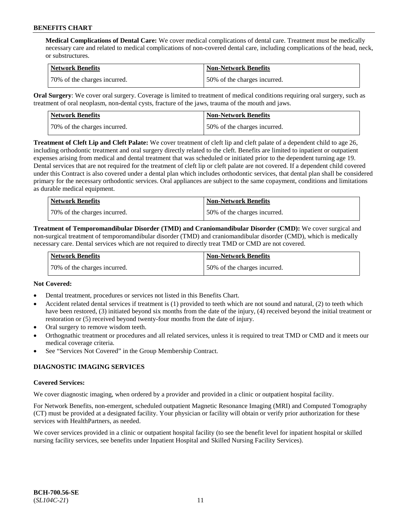**Medical Complications of Dental Care:** We cover medical complications of dental care. Treatment must be medically necessary care and related to medical complications of non-covered dental care, including complications of the head, neck, or substructures.

| Network Benefits             | <b>Non-Network Benefits</b>  |
|------------------------------|------------------------------|
| 70% of the charges incurred. | 50% of the charges incurred. |

**Oral Surgery**: We cover oral surgery. Coverage is limited to treatment of medical conditions requiring oral surgery, such as treatment of oral neoplasm, non-dental cysts, fracture of the jaws, trauma of the mouth and jaws.

| Network Benefits             | <b>Non-Network Benefits</b>  |
|------------------------------|------------------------------|
| 70% of the charges incurred. | 50% of the charges incurred. |

**Treatment of Cleft Lip and Cleft Palate:** We cover treatment of cleft lip and cleft palate of a dependent child to age 26, including orthodontic treatment and oral surgery directly related to the cleft. Benefits are limited to inpatient or outpatient expenses arising from medical and dental treatment that was scheduled or initiated prior to the dependent turning age 19. Dental services that are not required for the treatment of cleft lip or cleft palate are not covered. If a dependent child covered under this Contract is also covered under a dental plan which includes orthodontic services, that dental plan shall be considered primary for the necessary orthodontic services. Oral appliances are subject to the same copayment, conditions and limitations as durable medical equipment.

| <b>Network Benefits</b>      | <b>Non-Network Benefits</b>  |
|------------------------------|------------------------------|
| 70% of the charges incurred. | 50% of the charges incurred. |

**Treatment of Temporomandibular Disorder (TMD) and Craniomandibular Disorder (CMD):** We cover surgical and non-surgical treatment of temporomandibular disorder (TMD) and craniomandibular disorder (CMD), which is medically necessary care. Dental services which are not required to directly treat TMD or CMD are not covered.

| <b>Network Benefits</b>      | <b>Non-Network Benefits</b>  |
|------------------------------|------------------------------|
| 70% of the charges incurred. | 50% of the charges incurred. |

### **Not Covered:**

- Dental treatment, procedures or services not listed in this Benefits Chart.
- Accident related dental services if treatment is (1) provided to teeth which are not sound and natural, (2) to teeth which have been restored, (3) initiated beyond six months from the date of the injury, (4) received beyond the initial treatment or restoration or (5) received beyond twenty-four months from the date of injury.
- Oral surgery to remove wisdom teeth.
- Orthognathic treatment or procedures and all related services, unless it is required to treat TMD or CMD and it meets our medical coverage criteria.
- See "Services Not Covered" in the Group Membership Contract.

### **DIAGNOSTIC IMAGING SERVICES**

#### **Covered Services:**

We cover diagnostic imaging, when ordered by a provider and provided in a clinic or outpatient hospital facility.

For Network Benefits, non-emergent, scheduled outpatient Magnetic Resonance Imaging (MRI) and Computed Tomography (CT) must be provided at a designated facility. Your physician or facility will obtain or verify prior authorization for these services with HealthPartners, as needed.

We cover services provided in a clinic or outpatient hospital facility (to see the benefit level for inpatient hospital or skilled nursing facility services, see benefits under Inpatient Hospital and Skilled Nursing Facility Services).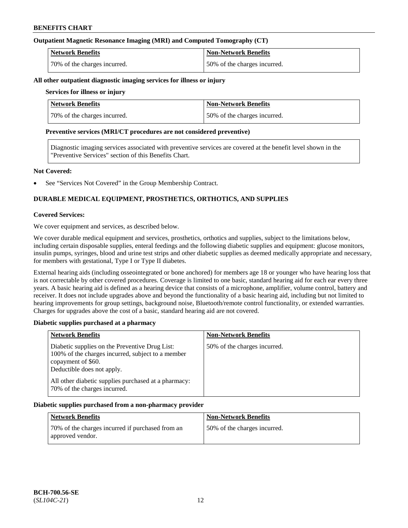### **Outpatient Magnetic Resonance Imaging (MRI) and Computed Tomography (CT)**

| <b>Network Benefits</b>      | <b>Non-Network Benefits</b>  |
|------------------------------|------------------------------|
| 70% of the charges incurred. | 50% of the charges incurred. |

#### **All other outpatient diagnostic imaging services for illness or injury**

# **Services for illness or injury**

| <b>Network Benefits</b>      | <b>Non-Network Benefits</b>  |
|------------------------------|------------------------------|
| 70% of the charges incurred. | 50% of the charges incurred. |

### **Preventive services (MRI/CT procedures are not considered preventive)**

Diagnostic imaging services associated with preventive services are covered at the benefit level shown in the "Preventive Services" section of this Benefits Chart.

### **Not Covered:**

See "Services Not Covered" in the Group Membership Contract.

# **DURABLE MEDICAL EQUIPMENT, PROSTHETICS, ORTHOTICS, AND SUPPLIES**

### **Covered Services:**

We cover equipment and services, as described below.

We cover durable medical equipment and services, prosthetics, orthotics and supplies, subject to the limitations below, including certain disposable supplies, enteral feedings and the following diabetic supplies and equipment: glucose monitors, insulin pumps, syringes, blood and urine test strips and other diabetic supplies as deemed medically appropriate and necessary, for members with gestational, Type I or Type II diabetes.

External hearing aids (including osseointegrated or bone anchored) for members age 18 or younger who have hearing loss that is not correctable by other covered procedures. Coverage is limited to one basic, standard hearing aid for each ear every three years. A basic hearing aid is defined as a hearing device that consists of a microphone, amplifier, volume control, battery and receiver. It does not include upgrades above and beyond the functionality of a basic hearing aid, including but not limited to hearing improvements for group settings, background noise, Bluetooth/remote control functionality, or extended warranties. Charges for upgrades above the cost of a basic, standard hearing aid are not covered.

### **Diabetic supplies purchased at a pharmacy**

| <b>Network Benefits</b>                                                                                                                                 | <b>Non-Network Benefits</b>  |
|---------------------------------------------------------------------------------------------------------------------------------------------------------|------------------------------|
| Diabetic supplies on the Preventive Drug List:<br>100% of the charges incurred, subject to a member<br>copayment of \$60.<br>Deductible does not apply. | 50% of the charges incurred. |
| All other diabetic supplies purchased at a pharmacy:<br>70% of the charges incurred.                                                                    |                              |

#### **Diabetic supplies purchased from a non-pharmacy provider**

| <b>Network Benefits</b>                                              | <b>Non-Network Benefits</b>  |
|----------------------------------------------------------------------|------------------------------|
| 70% of the charges incurred if purchased from an<br>approved vendor. | 50% of the charges incurred. |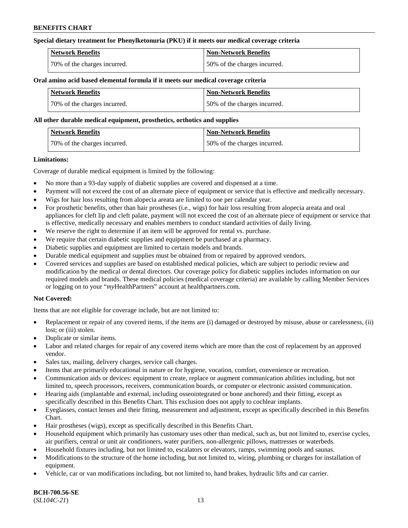### **Special dietary treatment for Phenylketonuria (PKU) if it meets our medical coverage criteria**

| <b>Network Benefits</b>      | <b>Non-Network Benefits</b>    |
|------------------------------|--------------------------------|
| 70% of the charges incurred. | 1.50% of the charges incurred. |

#### **Oral amino acid based elemental formula if it meets our medical coverage criteria**

| <b>Network Benefits</b>      | <b>Non-Network Benefits</b>  |
|------------------------------|------------------------------|
| 70% of the charges incurred. | 50% of the charges incurred. |

#### **All other durable medical equipment, prosthetics, orthotics and supplies**

| Network Benefits             | Non-Network Benefits         |
|------------------------------|------------------------------|
| 70% of the charges incurred. | 50% of the charges incurred. |

### **Limitations:**

Coverage of durable medical equipment is limited by the following:

- No more than a 93-day supply of diabetic supplies are covered and dispensed at a time.
- Payment will not exceed the cost of an alternate piece of equipment or service that is effective and medically necessary.
- Wigs for hair loss resulting from alopecia areata are limited to one per calendar year.
- For prosthetic benefits, other than hair prostheses (i.e., wigs) for hair loss resulting from alopecia areata and oral appliances for cleft lip and cleft palate, payment will not exceed the cost of an alternate piece of equipment or service that is effective, medically necessary and enables members to conduct standard activities of daily living.
- We reserve the right to determine if an item will be approved for rental vs. purchase.
- We require that certain diabetic supplies and equipment be purchased at a pharmacy.
- Diabetic supplies and equipment are limited to certain models and brands.
- Durable medical equipment and supplies must be obtained from or repaired by approved vendors.
- Covered services and supplies are based on established medical policies, which are subject to periodic review and modification by the medical or dental directors. Our coverage policy for diabetic supplies includes information on our required models and brands. These medical policies (medical coverage criteria) are available by calling Member Services or logging on to your "*my*HealthPartners" account a[t healthpartners.com.](https://www.healthpartners.com/hp/index.html)

### **Not Covered:**

Items that are not eligible for coverage include, but are not limited to:

- Replacement or repair of any covered items, if the items are (i) damaged or destroyed by misuse, abuse or carelessness, (ii) lost; or (iii) stolen.
- Duplicate or similar items.
- Labor and related charges for repair of any covered items which are more than the cost of replacement by an approved vendor.
- Sales tax, mailing, delivery charges, service call charges.
- Items that are primarily educational in nature or for hygiene, vocation, comfort, convenience or recreation.
- Communication aids or devices: equipment to create, replace or augment communication abilities including, but not limited to, speech processors, receivers, communication boards, or computer or electronic assisted communication.
- Hearing aids (implantable and external, including osseointegrated or bone anchored) and their fitting, except as specifically described in this Benefits Chart. This exclusion does not apply to cochlear implants.
- Eyeglasses, contact lenses and their fitting, measurement and adjustment, except as specifically described in this Benefits Chart.
- Hair prostheses (wigs), except as specifically described in this Benefits Chart.
- Household equipment which primarily has customary uses other than medical, such as, but not limited to, exercise cycles, air purifiers, central or unit air conditioners, water purifiers, non-allergenic pillows, mattresses or waterbeds.
- Household fixtures including, but not limited to, escalators or elevators, ramps, swimming pools and saunas.
- Modifications to the structure of the home including, but not limited to, wiring, plumbing or charges for installation of equipment.
- Vehicle, car or van modifications including, but not limited to, hand brakes, hydraulic lifts and car carrier.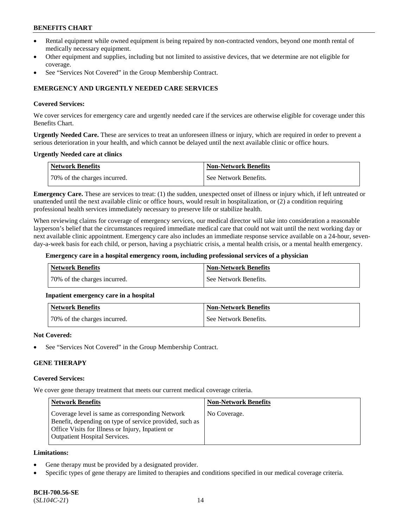- Rental equipment while owned equipment is being repaired by non-contracted vendors, beyond one month rental of medically necessary equipment.
- Other equipment and supplies, including but not limited to assistive devices, that we determine are not eligible for coverage.
- See "Services Not Covered" in the Group Membership Contract.

## **EMERGENCY AND URGENTLY NEEDED CARE SERVICES**

### **Covered Services:**

We cover services for emergency care and urgently needed care if the services are otherwise eligible for coverage under this Benefits Chart.

**Urgently Needed Care.** These are services to treat an unforeseen illness or injury, which are required in order to prevent a serious deterioration in your health, and which cannot be delayed until the next available clinic or office hours.

### **Urgently Needed care at clinics**

| <b>Network Benefits</b>      | <b>Non-Network Benefits</b> |
|------------------------------|-----------------------------|
| 70% of the charges incurred. | See Network Benefits.       |

**Emergency Care.** These are services to treat: (1) the sudden, unexpected onset of illness or injury which, if left untreated or unattended until the next available clinic or office hours, would result in hospitalization, or (2) a condition requiring professional health services immediately necessary to preserve life or stabilize health.

When reviewing claims for coverage of emergency services, our medical director will take into consideration a reasonable layperson's belief that the circumstances required immediate medical care that could not wait until the next working day or next available clinic appointment. Emergency care also includes an immediate response service available on a 24-hour, sevenday-a-week basis for each child, or person, having a psychiatric crisis, a mental health crisis, or a mental health emergency.

#### **Emergency care in a hospital emergency room, including professional services of a physician**

| Network Benefits             | Non-Network Benefits  |
|------------------------------|-----------------------|
| 70% of the charges incurred. | See Network Benefits. |

### **Inpatient emergency care in a hospital**

| Network Benefits             | <b>Non-Network Benefits</b> |
|------------------------------|-----------------------------|
| 70% of the charges incurred. | See Network Benefits.       |

#### **Not Covered:**

See "Services Not Covered" in the Group Membership Contract.

### **GENE THERAPY**

### **Covered Services:**

We cover gene therapy treatment that meets our current medical coverage criteria.

| <b>Network Benefits</b>                                                                                                                                                                                 | <b>Non-Network Benefits</b> |
|---------------------------------------------------------------------------------------------------------------------------------------------------------------------------------------------------------|-----------------------------|
| Coverage level is same as corresponding Network<br>Benefit, depending on type of service provided, such as<br>Office Visits for Illness or Injury, Inpatient or<br><b>Outpatient Hospital Services.</b> | No Coverage.                |

### **Limitations:**

- Gene therapy must be provided by a designated provider.
- Specific types of gene therapy are limited to therapies and conditions specified in our medical coverage criteria.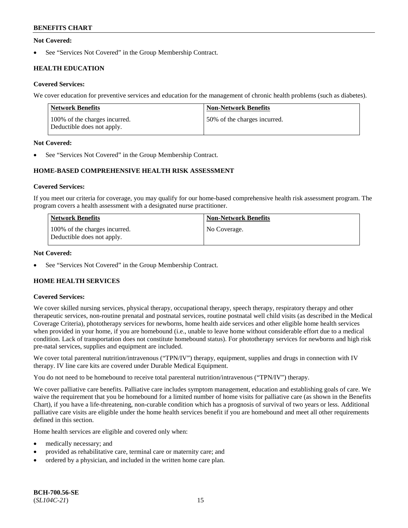### **Not Covered:**

See "Services Not Covered" in the Group Membership Contract.

# **HEALTH EDUCATION**

### **Covered Services:**

We cover education for preventive services and education for the management of chronic health problems (such as diabetes).

| Network Benefits                                            | <b>Non-Network Benefits</b>  |
|-------------------------------------------------------------|------------------------------|
| 100% of the charges incurred.<br>Deductible does not apply. | 50% of the charges incurred. |

### **Not Covered:**

See "Services Not Covered" in the Group Membership Contract.

## **HOME-BASED COMPREHENSIVE HEALTH RISK ASSESSMENT**

### **Covered Services:**

If you meet our criteria for coverage, you may qualify for our home-based comprehensive health risk assessment program. The program covers a health assessment with a designated nurse practitioner.

| <b>Network Benefits</b>                                     | <b>Non-Network Benefits</b> |
|-------------------------------------------------------------|-----------------------------|
| 100% of the charges incurred.<br>Deductible does not apply. | No Coverage.                |

### **Not Covered:**

See "Services Not Covered" in the Group Membership Contract.

# **HOME HEALTH SERVICES**

### **Covered Services:**

We cover skilled nursing services, physical therapy, occupational therapy, speech therapy, respiratory therapy and other therapeutic services, non-routine prenatal and postnatal services, routine postnatal well child visits (as described in the Medical Coverage Criteria), phototherapy services for newborns, home health aide services and other eligible home health services when provided in your home, if you are homebound (i.e., unable to leave home without considerable effort due to a medical condition. Lack of transportation does not constitute homebound status). For phototherapy services for newborns and high risk pre-natal services, supplies and equipment are included.

We cover total parenteral nutrition/intravenous ("TPN/IV") therapy, equipment, supplies and drugs in connection with IV therapy. IV line care kits are covered under Durable Medical Equipment.

You do not need to be homebound to receive total parenteral nutrition/intravenous ("TPN/IV") therapy.

We cover palliative care benefits. Palliative care includes symptom management, education and establishing goals of care. We waive the requirement that you be homebound for a limited number of home visits for palliative care (as shown in the Benefits Chart), if you have a life-threatening, non-curable condition which has a prognosis of survival of two years or less. Additional palliative care visits are eligible under the home health services benefit if you are homebound and meet all other requirements defined in this section.

Home health services are eligible and covered only when:

- medically necessary; and
- provided as rehabilitative care, terminal care or maternity care; and
- ordered by a physician, and included in the written home care plan.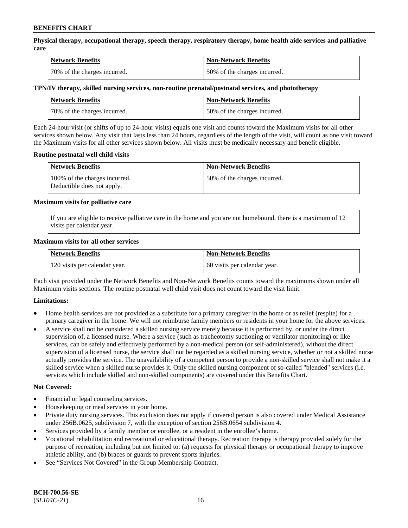**Physical therapy, occupational therapy, speech therapy, respiratory therapy, home health aide services and palliative care**

| <b>Network Benefits</b>      | <b>Non-Network Benefits</b>  |
|------------------------------|------------------------------|
| 70% of the charges incurred. | 50% of the charges incurred. |

### **TPN/IV therapy, skilled nursing services, non-routine prenatal/postnatal services, and phototherapy**

| Network Benefits             | Non-Network Benefits         |
|------------------------------|------------------------------|
| 70% of the charges incurred. | 50% of the charges incurred. |

Each 24-hour visit (or shifts of up to 24-hour visits) equals one visit and counts toward the Maximum visits for all other services shown below. Any visit that lasts less than 24 hours, regardless of the length of the visit, will count as one visit toward the Maximum visits for all other services shown below. All visits must be medically necessary and benefit eligible.

### **Routine postnatal well child visits**

| <b>Network Benefits</b>                                     | <b>Non-Network Benefits</b>  |
|-------------------------------------------------------------|------------------------------|
| 100% of the charges incurred.<br>Deductible does not apply. | 50% of the charges incurred. |

### **Maximum visits for palliative care**

If you are eligible to receive palliative care in the home and you are not homebound, there is a maximum of 12 visits per calendar year.

### **Maximum visits for all other services**

| <b>Network Benefits</b>       | <b>Non-Network Benefits</b>  |
|-------------------------------|------------------------------|
| 120 visits per calendar year. | 60 visits per calendar year. |

Each visit provided under the Network Benefits and Non-Network Benefits counts toward the maximums shown under all Maximum visits sections. The routine postnatal well child visit does not count toward the visit limit.

### **Limitations:**

- Home health services are not provided as a substitute for a primary caregiver in the home or as relief (respite) for a primary caregiver in the home. We will not reimburse family members or residents in your home for the above services.
- A service shall not be considered a skilled nursing service merely because it is performed by, or under the direct supervision of, a licensed nurse. Where a service (such as tracheotomy suctioning or ventilator monitoring) or like services, can be safely and effectively performed by a non-medical person (or self-administered), without the direct supervision of a licensed nurse, the service shall not be regarded as a skilled nursing service, whether or not a skilled nurse actually provides the service. The unavailability of a competent person to provide a non-skilled service shall not make it a skilled service when a skilled nurse provides it. Only the skilled nursing component of so-called "blended" services (i.e. services which include skilled and non-skilled components) are covered under this Benefits Chart.

#### **Not Covered:**

- Financial or legal counseling services.
- Housekeeping or meal services in your home.
- Private duty nursing services. This exclusion does not apply if covered person is also covered under Medical Assistance under 256B.0625, subdivision 7, with the exception of section 256B.0654 subdivision 4.
- Services provided by a family member or enrollee, or a resident in the enrollee's home.
- Vocational rehabilitation and recreational or educational therapy. Recreation therapy is therapy provided solely for the purpose of recreation, including but not limited to: (a) requests for physical therapy or occupational therapy to improve athletic ability, and (b) braces or guards to prevent sports injuries.
- See "Services Not Covered" in the Group Membership Contract.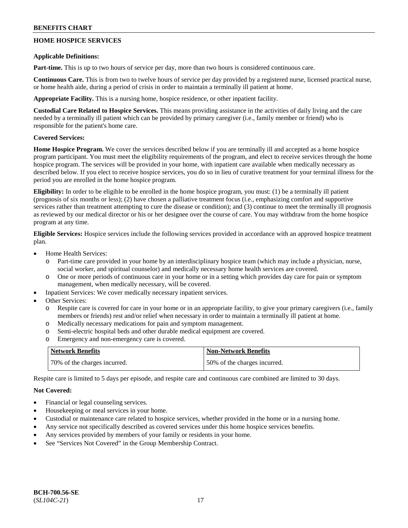# **HOME HOSPICE SERVICES**

### **Applicable Definitions:**

**Part-time.** This is up to two hours of service per day, more than two hours is considered continuous care.

**Continuous Care.** This is from two to twelve hours of service per day provided by a registered nurse, licensed practical nurse, or home health aide, during a period of crisis in order to maintain a terminally ill patient at home.

**Appropriate Facility.** This is a nursing home, hospice residence, or other inpatient facility.

**Custodial Care Related to Hospice Services.** This means providing assistance in the activities of daily living and the care needed by a terminally ill patient which can be provided by primary caregiver (i.e., family member or friend) who is responsible for the patient's home care.

### **Covered Services:**

**Home Hospice Program.** We cover the services described below if you are terminally ill and accepted as a home hospice program participant. You must meet the eligibility requirements of the program, and elect to receive services through the home hospice program. The services will be provided in your home, with inpatient care available when medically necessary as described below. If you elect to receive hospice services, you do so in lieu of curative treatment for your terminal illness for the period you are enrolled in the home hospice program.

**Eligibility:** In order to be eligible to be enrolled in the home hospice program, you must: (1) be a terminally ill patient (prognosis of six months or less); (2) have chosen a palliative treatment focus (i.e., emphasizing comfort and supportive services rather than treatment attempting to cure the disease or condition); and (3) continue to meet the terminally ill prognosis as reviewed by our medical director or his or her designee over the course of care. You may withdraw from the home hospice program at any time.

**Eligible Services:** Hospice services include the following services provided in accordance with an approved hospice treatment plan.

- Home Health Services:
	- o Part-time care provided in your home by an interdisciplinary hospice team (which may include a physician, nurse, social worker, and spiritual counselor) and medically necessary home health services are covered.
	- o One or more periods of continuous care in your home or in a setting which provides day care for pain or symptom management, when medically necessary, will be covered.
- Inpatient Services: We cover medically necessary inpatient services.
- Other Services:
	- o Respite care is covered for care in your home or in an appropriate facility, to give your primary caregivers (i.e., family members or friends) rest and/or relief when necessary in order to maintain a terminally ill patient at home.
	- o Medically necessary medications for pain and symptom management.
	- o Semi-electric hospital beds and other durable medical equipment are covered.
	- o Emergency and non-emergency care is covered.

| Network Benefits             | <b>Non-Network Benefits</b>   |
|------------------------------|-------------------------------|
| 70% of the charges incurred. | 150% of the charges incurred. |

Respite care is limited to 5 days per episode, and respite care and continuous care combined are limited to 30 days.

### **Not Covered:**

- Financial or legal counseling services.
- Housekeeping or meal services in your home.
- Custodial or maintenance care related to hospice services, whether provided in the home or in a nursing home.
- Any service not specifically described as covered services under this home hospice services benefits.
- Any services provided by members of your family or residents in your home.
- See "Services Not Covered" in the Group Membership Contract.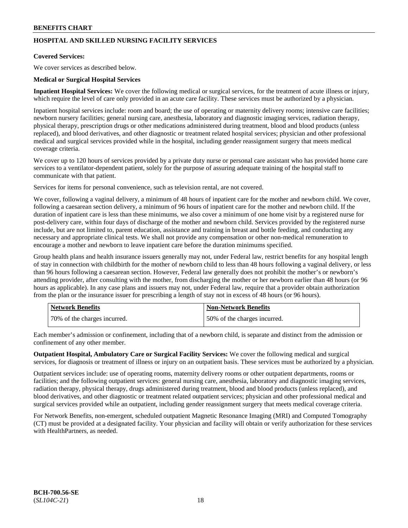# **HOSPITAL AND SKILLED NURSING FACILITY SERVICES**

### **Covered Services:**

We cover services as described below.

### **Medical or Surgical Hospital Services**

**Inpatient Hospital Services:** We cover the following medical or surgical services, for the treatment of acute illness or injury, which require the level of care only provided in an acute care facility. These services must be authorized by a physician.

Inpatient hospital services include: room and board; the use of operating or maternity delivery rooms; intensive care facilities; newborn nursery facilities; general nursing care, anesthesia, laboratory and diagnostic imaging services, radiation therapy, physical therapy, prescription drugs or other medications administered during treatment, blood and blood products (unless replaced), and blood derivatives, and other diagnostic or treatment related hospital services; physician and other professional medical and surgical services provided while in the hospital, including gender reassignment surgery that meets medical coverage criteria.

We cover up to 120 hours of services provided by a private duty nurse or personal care assistant who has provided home care services to a ventilator-dependent patient, solely for the purpose of assuring adequate training of the hospital staff to communicate with that patient.

Services for items for personal convenience, such as television rental, are not covered.

We cover, following a vaginal delivery, a minimum of 48 hours of inpatient care for the mother and newborn child. We cover, following a caesarean section delivery, a minimum of 96 hours of inpatient care for the mother and newborn child. If the duration of inpatient care is less than these minimums, we also cover a minimum of one home visit by a registered nurse for post-delivery care, within four days of discharge of the mother and newborn child. Services provided by the registered nurse include, but are not limited to, parent education, assistance and training in breast and bottle feeding, and conducting any necessary and appropriate clinical tests. We shall not provide any compensation or other non-medical remuneration to encourage a mother and newborn to leave inpatient care before the duration minimums specified.

Group health plans and health insurance issuers generally may not, under Federal law, restrict benefits for any hospital length of stay in connection with childbirth for the mother of newborn child to less than 48 hours following a vaginal delivery, or less than 96 hours following a caesarean section. However, Federal law generally does not prohibit the mother's or newborn's attending provider, after consulting with the mother, from discharging the mother or her newborn earlier than 48 hours (or 96 hours as applicable). In any case plans and issuers may not, under Federal law, require that a provider obtain authorization from the plan or the insurance issuer for prescribing a length of stay not in excess of 48 hours (or 96 hours).

| <b>Network Benefits</b>      | Non-Network Benefits         |
|------------------------------|------------------------------|
| 70% of the charges incurred. | 50% of the charges incurred. |

Each member's admission or confinement, including that of a newborn child, is separate and distinct from the admission or confinement of any other member.

**Outpatient Hospital, Ambulatory Care or Surgical Facility Services:** We cover the following medical and surgical services, for diagnosis or treatment of illness or injury on an outpatient basis. These services must be authorized by a physician.

Outpatient services include: use of operating rooms, maternity delivery rooms or other outpatient departments, rooms or facilities; and the following outpatient services: general nursing care, anesthesia, laboratory and diagnostic imaging services, radiation therapy, physical therapy, drugs administered during treatment, blood and blood products (unless replaced), and blood derivatives, and other diagnostic or treatment related outpatient services; physician and other professional medical and surgical services provided while an outpatient, including gender reassignment surgery that meets medical coverage criteria.

For Network Benefits, non-emergent, scheduled outpatient Magnetic Resonance Imaging (MRI) and Computed Tomography (CT) must be provided at a designated facility. Your physician and facility will obtain or verify authorization for these services with HealthPartners, as needed.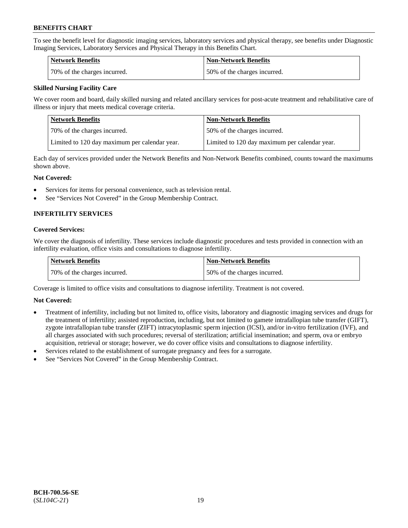To see the benefit level for diagnostic imaging services, laboratory services and physical therapy, see benefits under Diagnostic Imaging Services, Laboratory Services and Physical Therapy in this Benefits Chart.

| Network Benefits             | <b>Non-Network Benefits</b>  |
|------------------------------|------------------------------|
| 70% of the charges incurred. | 50% of the charges incurred. |

### **Skilled Nursing Facility Care**

We cover room and board, daily skilled nursing and related ancillary services for post-acute treatment and rehabilitative care of illness or injury that meets medical coverage criteria.

| Network Benefits                              | <b>Non-Network Benefits</b>                   |
|-----------------------------------------------|-----------------------------------------------|
| 70% of the charges incurred.                  | 50% of the charges incurred.                  |
| Limited to 120 day maximum per calendar year. | Limited to 120 day maximum per calendar year. |

Each day of services provided under the Network Benefits and Non-Network Benefits combined, counts toward the maximums shown above.

### **Not Covered:**

- Services for items for personal convenience, such as television rental.
- See "Services Not Covered" in the Group Membership Contract.

# **INFERTILITY SERVICES**

### **Covered Services:**

We cover the diagnosis of infertility. These services include diagnostic procedures and tests provided in connection with an infertility evaluation, office visits and consultations to diagnose infertility.

| Network Benefits             | <b>Non-Network Benefits</b>  |
|------------------------------|------------------------------|
| 70% of the charges incurred. | 50% of the charges incurred. |

Coverage is limited to office visits and consultations to diagnose infertility. Treatment is not covered.

### **Not Covered:**

- Treatment of infertility, including but not limited to, office visits, laboratory and diagnostic imaging services and drugs for the treatment of infertility; assisted reproduction, including, but not limited to gamete intrafallopian tube transfer (GIFT), zygote intrafallopian tube transfer (ZIFT) intracytoplasmic sperm injection (ICSI), and/or in-vitro fertilization (IVF), and all charges associated with such procedures; reversal of sterilization; artificial insemination; and sperm, ova or embryo acquisition, retrieval or storage; however, we do cover office visits and consultations to diagnose infertility.
- Services related to the establishment of surrogate pregnancy and fees for a surrogate.
- See "Services Not Covered" in the Group Membership Contract.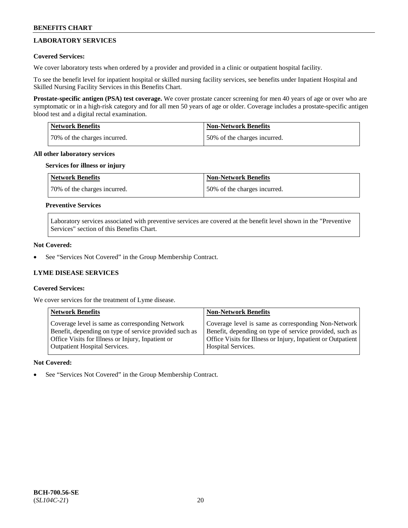# **LABORATORY SERVICES**

### **Covered Services:**

We cover laboratory tests when ordered by a provider and provided in a clinic or outpatient hospital facility.

To see the benefit level for inpatient hospital or skilled nursing facility services, see benefits under Inpatient Hospital and Skilled Nursing Facility Services in this Benefits Chart.

**Prostate-specific antigen (PSA) test coverage.** We cover prostate cancer screening for men 40 years of age or over who are symptomatic or in a high-risk category and for all men 50 years of age or older. Coverage includes a prostate-specific antigen blood test and a digital rectal examination.

| Network Benefits             | <b>Non-Network Benefits</b>  |
|------------------------------|------------------------------|
| 70% of the charges incurred. | 50% of the charges incurred. |

### **All other laboratory services**

### **Services for illness or injury**

| <b>Network Benefits</b>       | <b>Non-Network Benefits</b>  |
|-------------------------------|------------------------------|
| 170% of the charges incurred. | 50% of the charges incurred. |

### **Preventive Services**

Laboratory services associated with preventive services are covered at the benefit level shown in the "Preventive Services" section of this Benefits Chart.

### **Not Covered:**

See "Services Not Covered" in the Group Membership Contract.

# **LYME DISEASE SERVICES**

### **Covered Services:**

We cover services for the treatment of Lyme disease.

| <b>Network Benefits</b>                                | <b>Non-Network Benefits</b>                                  |
|--------------------------------------------------------|--------------------------------------------------------------|
| Coverage level is same as corresponding Network        | Coverage level is same as corresponding Non-Network          |
| Benefit, depending on type of service provided such as | Benefit, depending on type of service provided, such as      |
| Office Visits for Illness or Injury, Inpatient or      | Office Visits for Illness or Injury, Inpatient or Outpatient |
| <b>Outpatient Hospital Services.</b>                   | Hospital Services.                                           |

### **Not Covered:**

See "Services Not Covered" in the Group Membership Contract.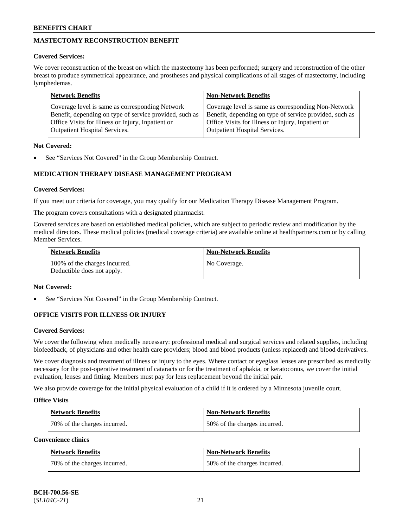# **MASTECTOMY RECONSTRUCTION BENEFIT**

### **Covered Services:**

We cover reconstruction of the breast on which the mastectomy has been performed; surgery and reconstruction of the other breast to produce symmetrical appearance, and prostheses and physical complications of all stages of mastectomy, including lymphedemas.

| <b>Network Benefits</b>                                 | <b>Non-Network Benefits</b>                             |
|---------------------------------------------------------|---------------------------------------------------------|
| Coverage level is same as corresponding Network         | Coverage level is same as corresponding Non-Network     |
| Benefit, depending on type of service provided, such as | Benefit, depending on type of service provided, such as |
| Office Visits for Illness or Injury, Inpatient or       | Office Visits for Illness or Injury, Inpatient or       |
| <b>Outpatient Hospital Services.</b>                    | <b>Outpatient Hospital Services.</b>                    |

### **Not Covered:**

See "Services Not Covered" in the Group Membership Contract.

# **MEDICATION THERAPY DISEASE MANAGEMENT PROGRAM**

### **Covered Services:**

If you meet our criteria for coverage, you may qualify for our Medication Therapy Disease Management Program.

The program covers consultations with a designated pharmacist.

Covered services are based on established medical policies, which are subject to periodic review and modification by the medical directors. These medical policies (medical coverage criteria) are available online at [healthpartners.com](https://www.healthpartners.com/hp/index.html) or by calling Member Services.

| Network Benefits                                            | <b>Non-Network Benefits</b> |
|-------------------------------------------------------------|-----------------------------|
| 100% of the charges incurred.<br>Deductible does not apply. | No Coverage.                |

### **Not Covered:**

See "Services Not Covered" in the Group Membership Contract.

# **OFFICE VISITS FOR ILLNESS OR INJURY**

### **Covered Services:**

We cover the following when medically necessary: professional medical and surgical services and related supplies, including biofeedback, of physicians and other health care providers; blood and blood products (unless replaced) and blood derivatives.

We cover diagnosis and treatment of illness or injury to the eyes. Where contact or eyeglass lenses are prescribed as medically necessary for the post-operative treatment of cataracts or for the treatment of aphakia, or keratoconus, we cover the initial evaluation, lenses and fitting. Members must pay for lens replacement beyond the initial pair.

We also provide coverage for the initial physical evaluation of a child if it is ordered by a Minnesota juvenile court.

### **Office Visits**

| <b>Network Benefits</b>      | <b>Non-Network Benefits</b>  |
|------------------------------|------------------------------|
| 70% of the charges incurred. | 50% of the charges incurred. |

**Convenience clinics**

| Network Benefits             | <b>Non-Network Benefits</b>  |
|------------------------------|------------------------------|
| 70% of the charges incurred. | 50% of the charges incurred. |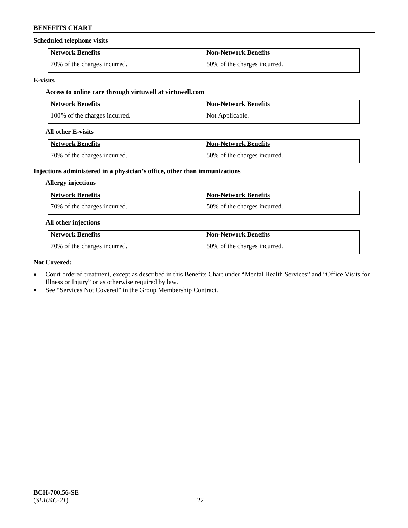### **Scheduled telephone visits**

| <b>Network Benefits</b>      | <b>Non-Network Benefits</b>  |
|------------------------------|------------------------------|
| 70% of the charges incurred. | 50% of the charges incurred. |

### **E-visits**

# **Access to online care through virtuwell at [virtuwell.com](https://www.virtuwell.com/)**

| <b>Network Benefits</b>       | <b>Non-Network Benefits</b> |
|-------------------------------|-----------------------------|
| 100% of the charges incurred. | Not Applicable.             |

### **All other E-visits**

| Network Benefits              | <b>Non-Network Benefits</b>  |
|-------------------------------|------------------------------|
| 170% of the charges incurred. | 50% of the charges incurred. |

### **Injections administered in a physician's office, other than immunizations**

### **Allergy injections**

| Network Benefits             | <b>Non-Network Benefits</b>  |
|------------------------------|------------------------------|
| 70% of the charges incurred. | 50% of the charges incurred. |

### **All other injections**

| Network Benefits             | <b>Non-Network Benefits</b>  |
|------------------------------|------------------------------|
| 70% of the charges incurred. | 50% of the charges incurred. |

### **Not Covered:**

- Court ordered treatment, except as described in this Benefits Chart under "Mental Health Services" and "Office Visits for Illness or Injury" or as otherwise required by law.
- See "Services Not Covered" in the Group Membership Contract.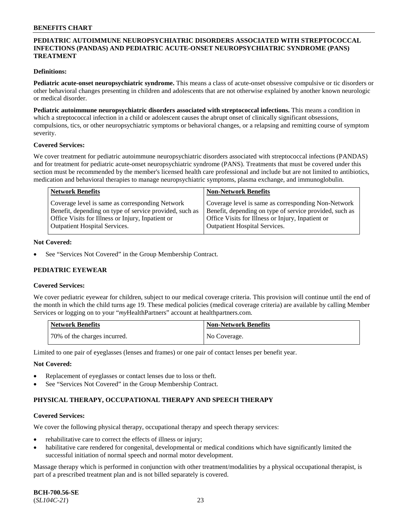### **PEDIATRIC AUTOIMMUNE NEUROPSYCHIATRIC DISORDERS ASSOCIATED WITH STREPTOCOCCAL INFECTIONS (PANDAS) AND PEDIATRIC ACUTE-ONSET NEUROPSYCHIATRIC SYNDROME (PANS) TREATMENT**

### **Definitions:**

**Pediatric acute-onset neuropsychiatric syndrome.** This means a class of acute-onset obsessive compulsive or tic disorders or other behavioral changes presenting in children and adolescents that are not otherwise explained by another known neurologic or medical disorder.

**Pediatric autoimmune neuropsychiatric disorders associated with streptococcal infections.** This means a condition in which a streptococcal infection in a child or adolescent causes the abrupt onset of clinically significant obsessions, compulsions, tics, or other neuropsychiatric symptoms or behavioral changes, or a relapsing and remitting course of symptom severity.

#### **Covered Services:**

We cover treatment for pediatric autoimmune neuropsychiatric disorders associated with streptococcal infections (PANDAS) and for treatment for pediatric acute-onset neuropsychiatric syndrome (PANS). Treatments that must be covered under this section must be recommended by the member's licensed health care professional and include but are not limited to antibiotics, medication and behavioral therapies to manage neuropsychiatric symptoms, plasma exchange, and immunoglobulin.

| <b>Network Benefits</b>                                 | <b>Non-Network Benefits</b>                             |
|---------------------------------------------------------|---------------------------------------------------------|
| Coverage level is same as corresponding Network         | Coverage level is same as corresponding Non-Network     |
| Benefit, depending on type of service provided, such as | Benefit, depending on type of service provided, such as |
| Office Visits for Illness or Injury, Inpatient or       | Office Visits for Illness or Injury, Inpatient or       |
| <b>Outpatient Hospital Services.</b>                    | <b>Outpatient Hospital Services.</b>                    |

### **Not Covered:**

See "Services Not Covered" in the Group Membership Contract.

### **PEDIATRIC EYEWEAR**

#### **Covered Services:**

We cover pediatric eyewear for children, subject to our medical coverage criteria. This provision will continue until the end of the month in which the child turns age 19. These medical policies (medical coverage criteria) are available by calling Member Services or logging on to your "*my*HealthPartners" account at [healthpartners.com.](https://www.healthpartners.com/hp/index.html)

| Network Benefits             | Non-Network Benefits |
|------------------------------|----------------------|
| 70% of the charges incurred. | No Coverage.         |

Limited to one pair of eyeglasses (lenses and frames) or one pair of contact lenses per benefit year.

#### **Not Covered:**

- Replacement of eyeglasses or contact lenses due to loss or theft.
- See "Services Not Covered" in the Group Membership Contract.

### **PHYSICAL THERAPY, OCCUPATIONAL THERAPY AND SPEECH THERAPY**

#### **Covered Services:**

We cover the following physical therapy, occupational therapy and speech therapy services:

- rehabilitative care to correct the effects of illness or injury;
- habilitative care rendered for congenital, developmental or medical conditions which have significantly limited the successful initiation of normal speech and normal motor development.

Massage therapy which is performed in conjunction with other treatment/modalities by a physical occupational therapist, is part of a prescribed treatment plan and is not billed separately is covered.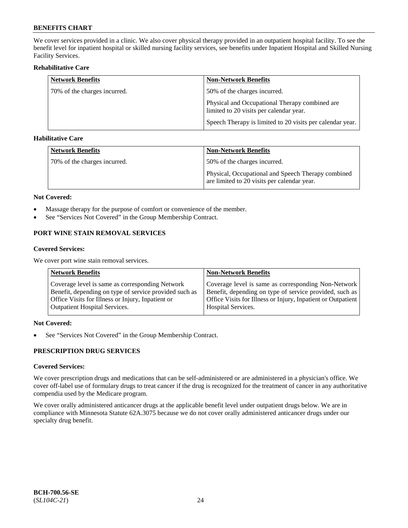We cover services provided in a clinic. We also cover physical therapy provided in an outpatient hospital facility. To see the benefit level for inpatient hospital or skilled nursing facility services, see benefits under Inpatient Hospital and Skilled Nursing Facility Services.

### **Rehabilitative Care**

| <b>Network Benefits</b>      | <b>Non-Network Benefits</b>                                                               |
|------------------------------|-------------------------------------------------------------------------------------------|
| 70% of the charges incurred. | 50% of the charges incurred.                                                              |
|                              | Physical and Occupational Therapy combined are<br>limited to 20 visits per calendar year. |
|                              | Speech Therapy is limited to 20 visits per calendar year.                                 |

### **Habilitative Care**

| <b>Network Benefits</b>      | <b>Non-Network Benefits</b>                                                                       |
|------------------------------|---------------------------------------------------------------------------------------------------|
| 70% of the charges incurred. | 50% of the charges incurred.                                                                      |
|                              | Physical, Occupational and Speech Therapy combined<br>are limited to 20 visits per calendar year. |

### **Not Covered:**

- Massage therapy for the purpose of comfort or convenience of the member.
- See "Services Not Covered" in the Group Membership Contract.

# **PORT WINE STAIN REMOVAL SERVICES**

### **Covered Services:**

We cover port wine stain removal services.

| <b>Network Benefits</b>                                | <b>Non-Network Benefits</b>                                  |
|--------------------------------------------------------|--------------------------------------------------------------|
| Coverage level is same as corresponding Network        | Coverage level is same as corresponding Non-Network          |
| Benefit, depending on type of service provided such as | Benefit, depending on type of service provided, such as      |
| Office Visits for Illness or Injury, Inpatient or      | Office Visits for Illness or Injury, Inpatient or Outpatient |
| <b>Outpatient Hospital Services.</b>                   | Hospital Services.                                           |

### **Not Covered:**

• See "Services Not Covered" in the Group Membership Contract.

### **PRESCRIPTION DRUG SERVICES**

## **Covered Services:**

We cover prescription drugs and medications that can be self-administered or are administered in a physician's office. We cover off-label use of formulary drugs to treat cancer if the drug is recognized for the treatment of cancer in any authoritative compendia used by the Medicare program.

We cover orally administered anticancer drugs at the applicable benefit level under outpatient drugs below. We are in compliance with Minnesota Statute 62A.3075 because we do not cover orally administered anticancer drugs under our specialty drug benefit.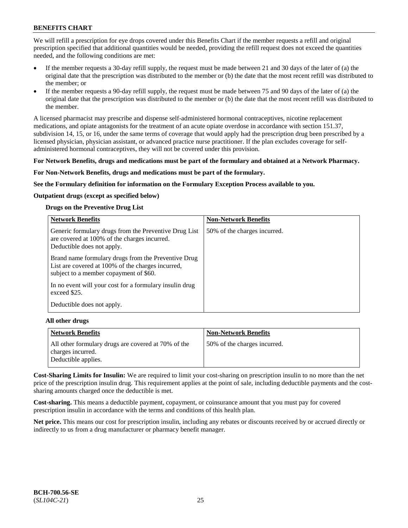We will refill a prescription for eye drops covered under this Benefits Chart if the member requests a refill and original prescription specified that additional quantities would be needed, providing the refill request does not exceed the quantities needed, and the following conditions are met:

- If the member requests a 30-day refill supply, the request must be made between 21 and 30 days of the later of (a) the original date that the prescription was distributed to the member or (b) the date that the most recent refill was distributed to the member; or
- If the member requests a 90-day refill supply, the request must be made between 75 and 90 days of the later of (a) the original date that the prescription was distributed to the member or (b) the date that the most recent refill was distributed to the member.

A licensed pharmacist may prescribe and dispense self-administered hormonal contraceptives, nicotine replacement medications, and opiate antagonists for the treatment of an acute opiate overdose in accordance with section 151.37, subdivision 14, 15, or 16, under the same terms of coverage that would apply had the prescription drug been prescribed by a licensed physician, physician assistant, or advanced practice nurse practitioner. If the plan excludes coverage for selfadministered hormonal contraceptives, they will not be covered under this provision.

### **For Network Benefits, drugs and medications must be part of the formulary and obtained at a Network Pharmacy.**

### **For Non-Network Benefits, drugs and medications must be part of the formulary.**

**See the Formulary definition for information on the Formulary Exception Process available to you.**

### **Outpatient drugs (except as specified below)**

### **Drugs on the Preventive Drug List**

| <b>Network Benefits</b>                                                                                                                            | <b>Non-Network Benefits</b>  |
|----------------------------------------------------------------------------------------------------------------------------------------------------|------------------------------|
| Generic formulary drugs from the Preventive Drug List<br>are covered at 100% of the charges incurred.<br>Deductible does not apply.                | 50% of the charges incurred. |
| Brand name formulary drugs from the Preventive Drug<br>List are covered at 100% of the charges incurred,<br>subject to a member copayment of \$60. |                              |
| In no event will your cost for a formulary insulin drug<br>exceed \$25.                                                                            |                              |
| Deductible does not apply.                                                                                                                         |                              |

#### **All other drugs**

| <b>Network Benefits</b>                                                  | <b>Non-Network Benefits</b>  |
|--------------------------------------------------------------------------|------------------------------|
| All other formulary drugs are covered at 70% of the<br>charges incurred. | 50% of the charges incurred. |
| Deductible applies.                                                      |                              |

**Cost-Sharing Limits for Insulin:** We are required to limit your cost-sharing on prescription insulin to no more than the net price of the prescription insulin drug. This requirement applies at the point of sale, including deductible payments and the costsharing amounts charged once the deductible is met.

**Cost-sharing.** This means a deductible payment, copayment, or coinsurance amount that you must pay for covered prescription insulin in accordance with the terms and conditions of this health plan.

**Net price.** This means our cost for prescription insulin, including any rebates or discounts received by or accrued directly or indirectly to us from a drug manufacturer or pharmacy benefit manager.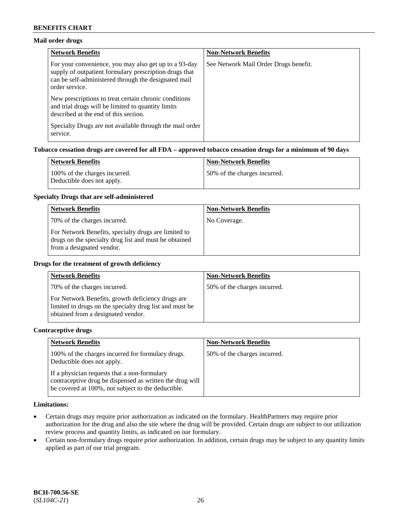### **Mail order drugs**

| <b>Network Benefits</b>                                                                                                                                                                   | <b>Non-Network Benefits</b>           |
|-------------------------------------------------------------------------------------------------------------------------------------------------------------------------------------------|---------------------------------------|
| For your convenience, you may also get up to a 93-day<br>supply of outpatient formulary prescription drugs that<br>can be self-administered through the designated mail<br>order service. | See Network Mail Order Drugs benefit. |
| New prescriptions to treat certain chronic conditions<br>and trial drugs will be limited to quantity limits<br>described at the end of this section.                                      |                                       |
| Specialty Drugs are not available through the mail order<br>service.                                                                                                                      |                                       |

### **Tobacco cessation drugs are covered for all FDA – approved tobacco cessation drugs for a minimum of 90 days**

| Network Benefits                                            | <b>Non-Network Benefits</b>  |
|-------------------------------------------------------------|------------------------------|
| 100% of the charges incurred.<br>Deductible does not apply. | 50% of the charges incurred. |

### **Specialty Drugs that are self-administered**

| <b>Network Benefits</b>                                                                                                                    | <b>Non-Network Benefits</b> |
|--------------------------------------------------------------------------------------------------------------------------------------------|-----------------------------|
| 70% of the charges incurred.                                                                                                               | No Coverage.                |
| For Network Benefits, specialty drugs are limited to<br>drugs on the specialty drug list and must be obtained<br>from a designated vendor. |                             |

### **Drugs for the treatment of growth deficiency**

| <b>Network Benefits</b>                                                                                                                            | <b>Non-Network Benefits</b>  |
|----------------------------------------------------------------------------------------------------------------------------------------------------|------------------------------|
| 70% of the charges incurred.                                                                                                                       | 50% of the charges incurred. |
| For Network Benefits, growth deficiency drugs are<br>limited to drugs on the specialty drug list and must be<br>obtained from a designated vendor. |                              |

#### **Contraceptive drugs**

| <b>Network Benefits</b>                                                                                                                                        | <b>Non-Network Benefits</b>  |
|----------------------------------------------------------------------------------------------------------------------------------------------------------------|------------------------------|
| 100% of the charges incurred for formulary drugs.<br>Deductible does not apply.                                                                                | 50% of the charges incurred. |
| If a physician requests that a non-formulary<br>contraceptive drug be dispensed as written the drug will<br>be covered at 100%, not subject to the deductible. |                              |

#### **Limitations:**

- Certain drugs may require prior authorization as indicated on the formulary. HealthPartners may require prior authorization for the drug and also the site where the drug will be provided. Certain drugs are subject to our utilization review process and quantity limits, as indicated on our formulary.
- Certain non-formulary drugs require prior authorization. In addition, certain drugs may be subject to any quantity limits applied as part of our trial program.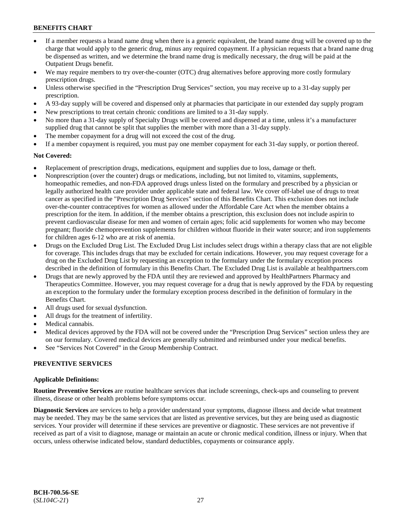- If a member requests a brand name drug when there is a generic equivalent, the brand name drug will be covered up to the charge that would apply to the generic drug, minus any required copayment. If a physician requests that a brand name drug be dispensed as written, and we determine the brand name drug is medically necessary, the drug will be paid at the Outpatient Drugs benefit.
- We may require members to try over-the-counter (OTC) drug alternatives before approving more costly formulary prescription drugs.
- Unless otherwise specified in the "Prescription Drug Services" section, you may receive up to a 31-day supply per prescription.
- A 93-day supply will be covered and dispensed only at pharmacies that participate in our extended day supply program
- New prescriptions to treat certain chronic conditions are limited to a 31-day supply.
- No more than a 31-day supply of Specialty Drugs will be covered and dispensed at a time, unless it's a manufacturer supplied drug that cannot be split that supplies the member with more than a 31-day supply.
- The member copayment for a drug will not exceed the cost of the drug.
- If a member copayment is required, you must pay one member copayment for each 31-day supply, or portion thereof.

### **Not Covered:**

- Replacement of prescription drugs, medications, equipment and supplies due to loss, damage or theft.
- Nonprescription (over the counter) drugs or medications, including, but not limited to, vitamins, supplements, homeopathic remedies, and non-FDA approved drugs unless listed on the formulary and prescribed by a physician or legally authorized health care provider under applicable state and federal law. We cover off-label use of drugs to treat cancer as specified in the "Prescription Drug Services" section of this Benefits Chart. This exclusion does not include over-the-counter contraceptives for women as allowed under the Affordable Care Act when the member obtains a prescription for the item. In addition, if the member obtains a prescription, this exclusion does not include aspirin to prevent cardiovascular disease for men and women of certain ages; folic acid supplements for women who may become pregnant; fluoride chemoprevention supplements for children without fluoride in their water source; and iron supplements for children ages 6-12 who are at risk of anemia.
- Drugs on the Excluded Drug List. The Excluded Drug List includes select drugs within a therapy class that are not eligible for coverage. This includes drugs that may be excluded for certain indications. However, you may request coverage for a drug on the Excluded Drug List by requesting an exception to the formulary under the formulary exception process described in the definition of formulary in this Benefits Chart. The Excluded Drug List is available at [healthpartners.com](http://www.healthpartners.com/)
- Drugs that are newly approved by the FDA until they are reviewed and approved by HealthPartners Pharmacy and Therapeutics Committee. However, you may request coverage for a drug that is newly approved by the FDA by requesting an exception to the formulary under the formulary exception process described in the definition of formulary in the Benefits Chart.
- All drugs used for sexual dysfunction.
- All drugs for the treatment of infertility.
- Medical cannabis.
- Medical devices approved by the FDA will not be covered under the "Prescription Drug Services" section unless they are on our formulary. Covered medical devices are generally submitted and reimbursed under your medical benefits.
- See "Services Not Covered" in the Group Membership Contract.

### **PREVENTIVE SERVICES**

#### **Applicable Definitions:**

**Routine Preventive Services** are routine healthcare services that include screenings, check-ups and counseling to prevent illness, disease or other health problems before symptoms occur.

**Diagnostic Services** are services to help a provider understand your symptoms, diagnose illness and decide what treatment may be needed. They may be the same services that are listed as preventive services, but they are being used as diagnostic services. Your provider will determine if these services are preventive or diagnostic. These services are not preventive if received as part of a visit to diagnose, manage or maintain an acute or chronic medical condition, illness or injury. When that occurs, unless otherwise indicated below, standard deductibles, copayments or coinsurance apply.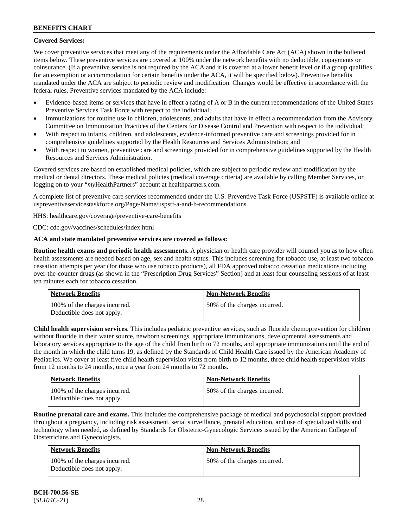### **Covered Services:**

We cover preventive services that meet any of the requirements under the Affordable Care Act (ACA) shown in the bulleted items below. These preventive services are covered at 100% under the network benefits with no deductible, copayments or coinsurance. (If a preventive service is not required by the ACA and it is covered at a lower benefit level or if a group qualifies for an exemption or accommodation for certain benefits under the ACA, it will be specified below). Preventive benefits mandated under the ACA are subject to periodic review and modification. Changes would be effective in accordance with the federal rules. Preventive services mandated by the ACA include:

- Evidence-based items or services that have in effect a rating of A or B in the current recommendations of the United States Preventive Services Task Force with respect to the individual;
- Immunizations for routine use in children, adolescents, and adults that have in effect a recommendation from the Advisory Committee on Immunization Practices of the Centers for Disease Control and Prevention with respect to the individual;
- With respect to infants, children, and adolescents, evidence-informed preventive care and screenings provided for in comprehensive guidelines supported by the Health Resources and Services Administration; and
- With respect to women, preventive care and screenings provided for in comprehensive guidelines supported by the Health Resources and Services Administration.

Covered services are based on established medical policies, which are subject to periodic review and modification by the medical or dental directors. These medical policies (medical coverage criteria) are available by calling Member Services, or logging on to your "*my*HealthPartners" account at [healthpartners.com.](http://www.healthpartners.com/)

A complete list of preventive care services recommended under the U.S. Preventive Task Force (USPSTF) is available online at [uspreventiveservicestaskforce.org/Page/Name/uspstf-a-and-b-recommendations.](https://www.uspreventiveservicestaskforce.org/Page/Name/uspstf-a-and-b-recommendations-by-date/)

HHS: [healthcare.gov/coverage/preventive-care-benefits](https://www.healthcare.gov/coverage/preventive-care-benefits/)

CDC: [cdc.gov/vaccines/schedules/index.html](https://www.cdc.gov/vaccines/schedules/index.html)

### **ACA and state mandated preventive services are covered as follows:**

**Routine health exams and periodic health assessments.** A physician or health care provider will counsel you as to how often health assessments are needed based on age, sex and health status. This includes screening for tobacco use, at least two tobacco cessation attempts per year (for those who use tobacco products), all FDA approved tobacco cessation medications including over-the-counter drugs (as shown in the "Prescription Drug Services" Section) and at least four counseling sessions of at least ten minutes each for tobacco cessation.

| Network Benefits                                            | <b>Non-Network Benefits</b>  |
|-------------------------------------------------------------|------------------------------|
| 100% of the charges incurred.<br>Deductible does not apply. | 50% of the charges incurred. |

**Child health supervision services**. This includes pediatric preventive services, such as fluoride chemoprevention for children without fluoride in their water source, newborn screenings, appropriate immunizations, developmental assessments and laboratory services appropriate to the age of the child from birth to 72 months, and appropriate immunizations until the end of the month in which the child turns 19, as defined by the Standards of Child Health Care issued by the American Academy of Pediatrics. We cover at least five child health supervision visits from birth to 12 months, three child health supervision visits from 12 months to 24 months, once a year from 24 months to 72 months.

| <b>Network Benefits</b>                                     | <b>Non-Network Benefits</b>  |
|-------------------------------------------------------------|------------------------------|
| 100% of the charges incurred.<br>Deductible does not apply. | 50% of the charges incurred. |

**Routine prenatal care and exams.** This includes the comprehensive package of medical and psychosocial support provided throughout a pregnancy, including risk assessment, serial surveillance, prenatal education, and use of specialized skills and technology when needed, as defined by Standards for Obstetric-Gynecologic Services issued by the American College of Obstetricians and Gynecologists.

| Network Benefits                                            | <b>Non-Network Benefits</b>    |
|-------------------------------------------------------------|--------------------------------|
| 100% of the charges incurred.<br>Deductible does not apply. | 150\% of the charges incurred. |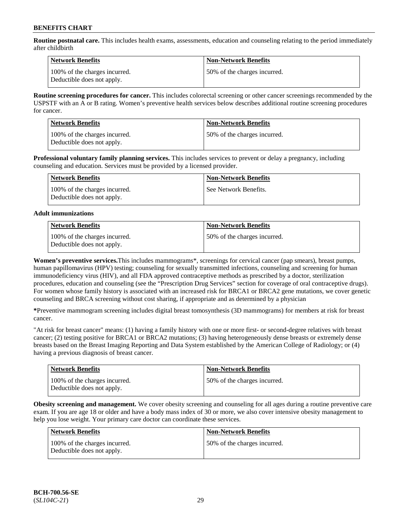**Routine postnatal care.** This includes health exams, assessments, education and counseling relating to the period immediately after childbirth

| Network Benefits                                            | <b>Non-Network Benefits</b>  |
|-------------------------------------------------------------|------------------------------|
| 100% of the charges incurred.<br>Deductible does not apply. | 50% of the charges incurred. |

**Routine screening procedures for cancer.** This includes colorectal screening or other cancer screenings recommended by the USPSTF with an A or B rating. Women's preventive health services below describes additional routine screening procedures for cancer.

| <b>Network Benefits</b>                                     | <b>Non-Network Benefits</b>  |
|-------------------------------------------------------------|------------------------------|
| 100% of the charges incurred.<br>Deductible does not apply. | 50% of the charges incurred. |

**Professional voluntary family planning services.** This includes services to prevent or delay a pregnancy, including counseling and education. Services must be provided by a licensed provider.

| Network Benefits                                            | <b>Non-Network Benefits</b> |
|-------------------------------------------------------------|-----------------------------|
| 100% of the charges incurred.<br>Deductible does not apply. | See Network Benefits.       |

### **Adult immunizations**

| <b>Network Benefits</b>                                     | <b>Non-Network Benefits</b>  |
|-------------------------------------------------------------|------------------------------|
| 100% of the charges incurred.<br>Deductible does not apply. | 50% of the charges incurred. |

**Women's preventive services.**This includes mammograms\*, screenings for cervical cancer (pap smears), breast pumps, human papillomavirus (HPV) testing; counseling for sexually transmitted infections, counseling and screening for human immunodeficiency virus (HIV), and all FDA approved contraceptive methods as prescribed by a doctor, sterilization procedures, education and counseling (see the "Prescription Drug Services" section for coverage of oral contraceptive drugs). For women whose family history is associated with an increased risk for BRCA1 or BRCA2 gene mutations, we cover genetic counseling and BRCA screening without cost sharing, if appropriate and as determined by a physician

**\***Preventive mammogram screening includes digital breast tomosynthesis (3D mammograms) for members at risk for breast cancer.

"At risk for breast cancer" means: (1) having a family history with one or more first- or second-degree relatives with breast cancer; (2) testing positive for BRCA1 or BRCA2 mutations; (3) having heterogeneously dense breasts or extremely dense breasts based on the Breast Imaging Reporting and Data System established by the American College of Radiology; or (4) having a previous diagnosis of breast cancer.

| <b>Network Benefits</b>                                     | <b>Non-Network Benefits</b>  |
|-------------------------------------------------------------|------------------------------|
| 100% of the charges incurred.<br>Deductible does not apply. | 50% of the charges incurred. |

**Obesity screening and management.** We cover obesity screening and counseling for all ages during a routine preventive care exam. If you are age 18 or older and have a body mass index of 30 or more, we also cover intensive obesity management to help you lose weight. Your primary care doctor can coordinate these services.

| <b>Network Benefits</b>                                     | <b>Non-Network Benefits</b>  |
|-------------------------------------------------------------|------------------------------|
| 100% of the charges incurred.<br>Deductible does not apply. | 50% of the charges incurred. |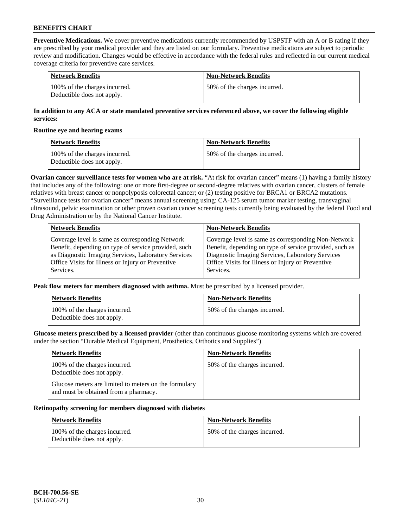**Preventive Medications.** We cover preventive medications currently recommended by USPSTF with an A or B rating if they are prescribed by your medical provider and they are listed on our formulary. Preventive medications are subject to periodic review and modification. Changes would be effective in accordance with the federal rules and reflected in our current medical coverage criteria for preventive care services.

| Network Benefits                                            | Non-Network Benefits         |
|-------------------------------------------------------------|------------------------------|
| 100% of the charges incurred.<br>Deductible does not apply. | 50% of the charges incurred. |

### **In addition to any ACA or state mandated preventive services referenced above, we cover the following eligible services:**

#### **Routine eye and hearing exams**

| <b>Network Benefits</b>                                     | <b>Non-Network Benefits</b>  |
|-------------------------------------------------------------|------------------------------|
| 100% of the charges incurred.<br>Deductible does not apply. | 50% of the charges incurred. |

**Ovarian cancer surveillance tests for women who are at risk.** "At risk for ovarian cancer" means (1) having a family history that includes any of the following: one or more first-degree or second-degree relatives with ovarian cancer, clusters of female relatives with breast cancer or nonpolyposis colorectal cancer; or (2) testing positive for BRCA1 or BRCA2 mutations. "Surveillance tests for ovarian cancer" means annual screening using: CA-125 serum tumor marker testing, transvaginal ultrasound, pelvic examination or other proven ovarian cancer screening tests currently being evaluated by the federal Food and Drug Administration or by the National Cancer Institute.

| <b>Network Benefits</b>                              | <b>Non-Network Benefits</b>                             |
|------------------------------------------------------|---------------------------------------------------------|
| Coverage level is same as corresponding Network      | Coverage level is same as corresponding Non-Network     |
| Benefit, depending on type of service provided, such | Benefit, depending on type of service provided, such as |
| as Diagnostic Imaging Services, Laboratory Services  | Diagnostic Imaging Services, Laboratory Services        |
| Office Visits for Illness or Injury or Preventive    | Office Visits for Illness or Injury or Preventive       |
| Services.                                            | Services.                                               |

**Peak flow meters for members diagnosed with asthma.** Must be prescribed by a licensed provider.

| <b>Network Benefits</b>                                     | <b>Non-Network Benefits</b>  |
|-------------------------------------------------------------|------------------------------|
| 100% of the charges incurred.<br>Deductible does not apply. | 50% of the charges incurred. |

**Glucose meters prescribed by a licensed provider** (other than continuous glucose monitoring systems which are covered under the section "Durable Medical Equipment, Prosthetics, Orthotics and Supplies")

| <b>Network Benefits</b>                                                                        | <b>Non-Network Benefits</b>  |
|------------------------------------------------------------------------------------------------|------------------------------|
| 100% of the charges incurred.<br>Deductible does not apply.                                    | 50% of the charges incurred. |
| Glucose meters are limited to meters on the formulary<br>and must be obtained from a pharmacy. |                              |

#### **Retinopathy screening for members diagnosed with diabetes**

| <b>Network Benefits</b>                                     | <b>Non-Network Benefits</b>  |
|-------------------------------------------------------------|------------------------------|
| 100% of the charges incurred.<br>Deductible does not apply. | 50% of the charges incurred. |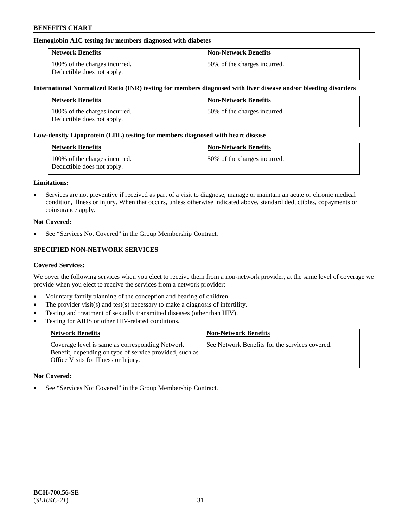### **Hemoglobin A1C testing for members diagnosed with diabetes**

| <b>Network Benefits</b>                                     | <b>Non-Network Benefits</b>  |
|-------------------------------------------------------------|------------------------------|
| 100% of the charges incurred.<br>Deductible does not apply. | 50% of the charges incurred. |

### **International Normalized Ratio (INR) testing for members diagnosed with liver disease and/or bleeding disorders**

| <b>Network Benefits</b>                                     | <b>Non-Network Benefits</b>  |
|-------------------------------------------------------------|------------------------------|
| 100% of the charges incurred.<br>Deductible does not apply. | 50% of the charges incurred. |

### **Low-density Lipoprotein (LDL) testing for members diagnosed with heart disease**

| <b>Network Benefits</b>                                     | <b>Non-Network Benefits</b>  |
|-------------------------------------------------------------|------------------------------|
| 100% of the charges incurred.<br>Deductible does not apply. | 50% of the charges incurred. |

#### **Limitations:**

• Services are not preventive if received as part of a visit to diagnose, manage or maintain an acute or chronic medical condition, illness or injury. When that occurs, unless otherwise indicated above, standard deductibles, copayments or coinsurance apply.

### **Not Covered:**

See "Services Not Covered" in the Group Membership Contract.

## **SPECIFIED NON-NETWORK SERVICES**

#### **Covered Services:**

We cover the following services when you elect to receive them from a non-network provider, at the same level of coverage we provide when you elect to receive the services from a network provider:

- Voluntary family planning of the conception and bearing of children.
- The provider visit(s) and test(s) necessary to make a diagnosis of infertility.
- Testing and treatment of sexually transmitted diseases (other than HIV).
- Testing for AIDS or other HIV-related conditions.

| <b>Network Benefits</b>                                                                                                                            | <b>Non-Network Benefits</b>                    |
|----------------------------------------------------------------------------------------------------------------------------------------------------|------------------------------------------------|
| Coverage level is same as corresponding Network<br>Benefit, depending on type of service provided, such as<br>Office Visits for Illness or Injury. | See Network Benefits for the services covered. |

#### **Not Covered:**

• See "Services Not Covered" in the Group Membership Contract.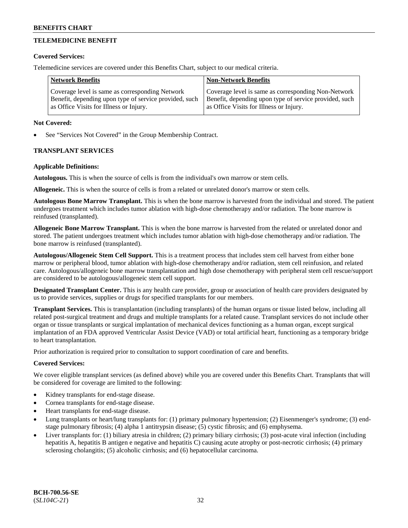## **TELEMEDICINE BENEFIT**

### **Covered Services:**

Telemedicine services are covered under this Benefits Chart, subject to our medical criteria.

| <b>Network Benefits</b>                                | <b>Non-Network Benefits</b>                            |
|--------------------------------------------------------|--------------------------------------------------------|
| Coverage level is same as corresponding Network        | Coverage level is same as corresponding Non-Network    |
| Benefit, depending upon type of service provided, such | Benefit, depending upon type of service provided, such |
| as Office Visits for Illness or Injury.                | as Office Visits for Illness or Injury.                |

### **Not Covered:**

See "Services Not Covered" in the Group Membership Contract.

### **TRANSPLANT SERVICES**

### **Applicable Definitions:**

**Autologous.** This is when the source of cells is from the individual's own marrow or stem cells.

**Allogeneic.** This is when the source of cells is from a related or unrelated donor's marrow or stem cells.

**Autologous Bone Marrow Transplant.** This is when the bone marrow is harvested from the individual and stored. The patient undergoes treatment which includes tumor ablation with high-dose chemotherapy and/or radiation. The bone marrow is reinfused (transplanted).

**Allogeneic Bone Marrow Transplant.** This is when the bone marrow is harvested from the related or unrelated donor and stored. The patient undergoes treatment which includes tumor ablation with high-dose chemotherapy and/or radiation. The bone marrow is reinfused (transplanted).

**Autologous/Allogeneic Stem Cell Support.** This is a treatment process that includes stem cell harvest from either bone marrow or peripheral blood, tumor ablation with high-dose chemotherapy and/or radiation, stem cell reinfusion, and related care. Autologous/allogeneic bone marrow transplantation and high dose chemotherapy with peripheral stem cell rescue/support are considered to be autologous/allogeneic stem cell support.

**Designated Transplant Center.** This is any health care provider, group or association of health care providers designated by us to provide services, supplies or drugs for specified transplants for our members.

**Transplant Services.** This is transplantation (including transplants) of the human organs or tissue listed below, including all related post-surgical treatment and drugs and multiple transplants for a related cause. Transplant services do not include other organ or tissue transplants or surgical implantation of mechanical devices functioning as a human organ, except surgical implantation of an FDA approved Ventricular Assist Device (VAD) or total artificial heart, functioning as a temporary bridge to heart transplantation.

Prior authorization is required prior to consultation to support coordination of care and benefits.

### **Covered Services:**

We cover eligible transplant services (as defined above) while you are covered under this Benefits Chart. Transplants that will be considered for coverage are limited to the following:

- Kidney transplants for end-stage disease.
- Cornea transplants for end-stage disease.
- Heart transplants for end-stage disease.
- Lung transplants or heart/lung transplants for: (1) primary pulmonary hypertension; (2) Eisenmenger's syndrome; (3) endstage pulmonary fibrosis; (4) alpha 1 antitrypsin disease; (5) cystic fibrosis; and (6) emphysema.
- Liver transplants for: (1) biliary atresia in children; (2) primary biliary cirrhosis; (3) post-acute viral infection (including hepatitis A, hepatitis B antigen e negative and hepatitis C) causing acute atrophy or post-necrotic cirrhosis; (4) primary sclerosing cholangitis; (5) alcoholic cirrhosis; and (6) hepatocellular carcinoma.